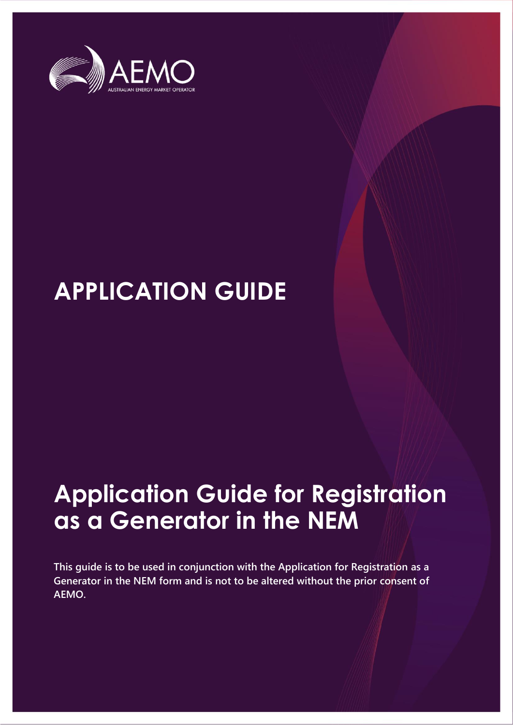

# **APPLICATION GUIDE**

# **Application Guide for Registration as a Generator in the NEM**

**This guide is to be used in conjunction with the Application for Registration as a Generator in the NEM form and is not to be altered without the prior consent of AEMO.**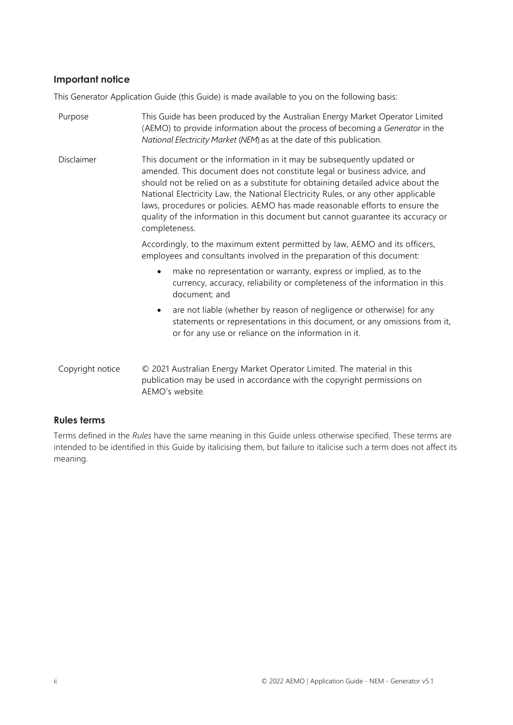#### **Important notice**

This Generator Application Guide (this Guide) is made available to you on the following basis:

| Purpose          | This Guide has been produced by the Australian Energy Market Operator Limited<br>(AEMO) to provide information about the process of becoming a Generator in the<br>National Electricity Market (NEM) as at the date of this publication.                                                                                                                                                                                                                                                                       |  |
|------------------|----------------------------------------------------------------------------------------------------------------------------------------------------------------------------------------------------------------------------------------------------------------------------------------------------------------------------------------------------------------------------------------------------------------------------------------------------------------------------------------------------------------|--|
| Disclaimer       | This document or the information in it may be subsequently updated or<br>amended. This document does not constitute legal or business advice, and<br>should not be relied on as a substitute for obtaining detailed advice about the<br>National Electricity Law, the National Electricity Rules, or any other applicable<br>laws, procedures or policies. AEMO has made reasonable efforts to ensure the<br>quality of the information in this document but cannot guarantee its accuracy or<br>completeness. |  |
|                  | Accordingly, to the maximum extent permitted by law, AEMO and its officers,<br>employees and consultants involved in the preparation of this document:                                                                                                                                                                                                                                                                                                                                                         |  |
|                  | make no representation or warranty, express or implied, as to the<br>$\bullet$<br>currency, accuracy, reliability or completeness of the information in this<br>document; and                                                                                                                                                                                                                                                                                                                                  |  |
|                  | are not liable (whether by reason of negligence or otherwise) for any<br>$\bullet$<br>statements or representations in this document, or any omissions from it,<br>or for any use or reliance on the information in it.                                                                                                                                                                                                                                                                                        |  |
| Copyright notice | © 2021 Australian Energy Market Operator Limited. The material in this<br>publication may be used in accordance with the copyright permissions on<br>AEMO's website.                                                                                                                                                                                                                                                                                                                                           |  |

#### **Rules terms**

Terms defined in the *Rules* have the same meaning in this Guide unless otherwise specified. These terms are intended to be identified in this Guide by italicising them, but failure to italicise such a term does not affect its meaning.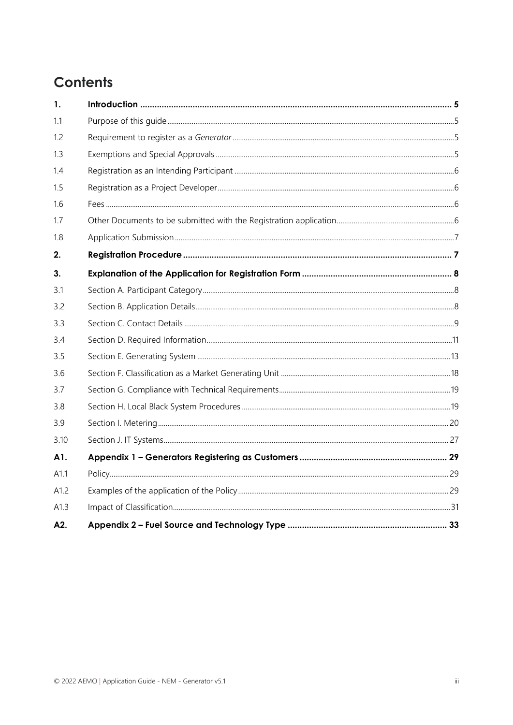# **Contents**

| 1.   |  |
|------|--|
| 11   |  |
| 1.2  |  |
| 1.3  |  |
| 1.4  |  |
| 1.5  |  |
| 1.6  |  |
| 1.7  |  |
| 1.8  |  |
| 2.   |  |
| 3.   |  |
| 3.1  |  |
| 3.2  |  |
| 3.3  |  |
| 3.4  |  |
| 3.5  |  |
| 3.6  |  |
| 3.7  |  |
| 3.8  |  |
| 3.9  |  |
| 3.10 |  |
| A1.  |  |
| A1.1 |  |
| A1.2 |  |
| A1.3 |  |
| A2.  |  |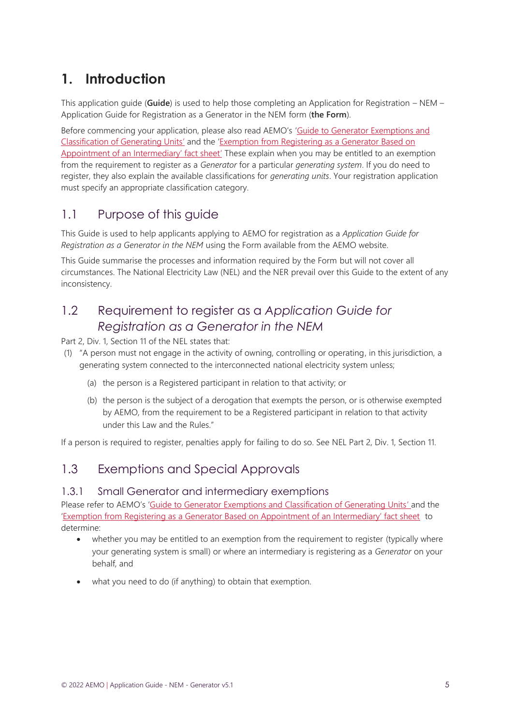# <span id="page-4-0"></span>**1. Introduction**

This application guide (**Guide**) is used to help those completing an Application for Registration – NEM – Application Guide for Registration as a Generator in the NEM form (**the Form**).

Before commencing your application, please also read AEMO's '[Guide to Generator Exemptions and](https://aemo.com.au/-/media/Files/Electricity/NEM/Participant_Information/New-Participants/Generator-Exemption-and-Classification-Guide.docx)  [Classification of Generating Units](https://aemo.com.au/-/media/Files/Electricity/NEM/Participant_Information/New-Participants/Generator-Exemption-and-Classification-Guide.docx)' and the '[Exemption from Registering as a Generator Based on](https://aemo.com.au/-/media/files/electricity/nem/participant_information/new-participants/fact-sheet-nem-generator-exemption-intermediary.pdf)  [Appointment of an Intermediary' fact sheet'](https://aemo.com.au/-/media/files/electricity/nem/participant_information/new-participants/fact-sheet-nem-generator-exemption-intermediary.pdf) These explain when you may be entitled to an exemption from the requirement to register as a *Generator* for a particular *generating system*. If you do need to register, they also explain the available classifications for *generating units*. Your registration application must specify an appropriate classification category.

## <span id="page-4-1"></span>1.1 Purpose of this guide

This Guide is used to help applicants applying to AEMO for registration as a *Application Guide for Registration as a Generator in the NEM* using the Form available from the AEMO website.

This Guide summarise the processes and information required by the Form but will not cover all circumstances. The National Electricity Law (NEL) and the NER prevail over this Guide to the extent of any inconsistency.

# <span id="page-4-2"></span>1.2 Requirement to register as a *Application Guide for Registration as a Generator in the NEM*

Part 2, Div. 1, Section 11 of the NEL states that:

- (1) "A person must not engage in the activity of owning, controlling or operating, in this jurisdiction, a generating system connected to the interconnected national electricity system unless;
	- (a) the person is a Registered participant in relation to that activity; or
	- (b) the person is the subject of a derogation that exempts the person, or is otherwise exempted by AEMO, from the requirement to be a Registered participant in relation to that activity under this Law and the Rules."

<span id="page-4-3"></span>If a person is required to register, penalties apply for failing to do so. See NEL Part 2, Div. 1, Section 11.

## 1.3 Exemptions and Special Approvals

#### 1.3.1 Small Generator and intermediary exemptions

Please refer to AEMO's '[Guide to Generator Exemptions and Classification of Generating Units](https://aemo.com.au/-/media/Files/Electricity/NEM/Participant_Information/New-Participants/Generator-Exemption-and-Classification-Guide.docx)' and the ['Exemption from Registering as a Generator Based on Appointment of an Intermediary' fact sheet](https://aemo.com.au/-/media/files/electricity/nem/participant_information/new-participants/fact-sheet-nem-generator-exemption-intermediary.pdf) to determine:

- whether you may be entitled to an exemption from the requirement to register (typically where your generating system is small) or where an intermediary is registering as a *Generator* on your behalf, and
- what you need to do (if anything) to obtain that exemption.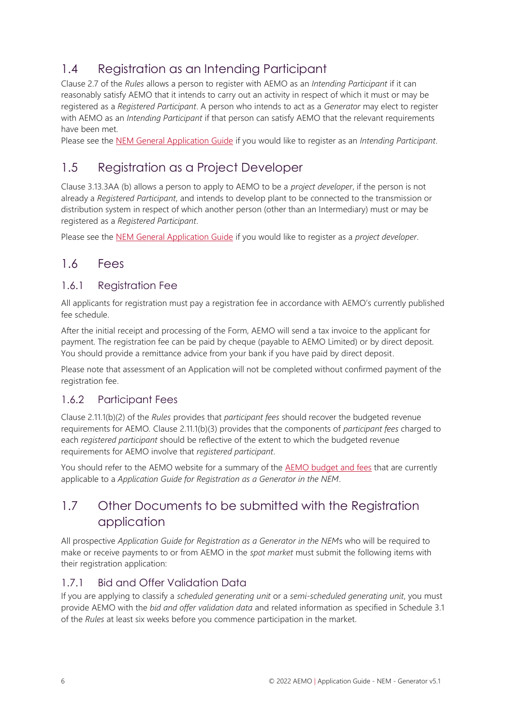# <span id="page-5-0"></span>1.4 Registration as an Intending Participant

Clause 2.7 of the *Rules* allows a person to register with AEMO as an *Intending Participant* if it can reasonably satisfy AEMO that it intends to carry out an activity in respect of which it must or may be registered as a *Registered Participant*. A person who intends to act as a *Generator* may elect to register with AEMO as an *Intending Participant* if that person can satisfy AEMO that the relevant requirements have been met.

<span id="page-5-1"></span>Please see the [NEM General Application Guide](https://aemo.com.au/energy-systems/electricity/national-electricity-market-nem/participate-in-the-market/registration/register-as-an-intending-participant-in-the-nem) if you would like to register as an *Intending Participant*.

## 1.5 Registration as a Project Developer

Clause 3.13.3AA (b) allows a person to apply to AEMO to be a *project developer*, if the person is not already a *Registered Participant*, and intends to develop plant to be connected to the transmission or distribution system in respect of which another person (other than an Intermediary) must or may be registered as a *Registered Participant*.

<span id="page-5-2"></span>Please see the [NEM General Application Guide](https://aemo.com.au/energy-systems/electricity/national-electricity-market-nem/participate-in-the-market/registration/register-as-an-intending-participant-in-the-nem) if you would like to register as a *project developer*.

## 1.6 Fees

#### 1.6.1 Registration Fee

All applicants for registration must pay a registration fee in accordance with AEMO's currently published fee schedule.

After the initial receipt and processing of the Form, AEMO will send a tax invoice to the applicant for payment. The registration fee can be paid by cheque (payable to AEMO Limited) or by direct deposit. You should provide a remittance advice from your bank if you have paid by direct deposit.

Please note that assessment of an Application will not be completed without confirmed payment of the registration fee.

#### 1.6.2 Participant Fees

Clause 2.11.1(b)(2) of the *Rules* provides that *participant fees* should recover the budgeted revenue requirements for AEMO*.* Clause 2.11.1(b)(3) provides that the components of *participant fees* charged to each *registered participant* should be reflective of the extent to which the budgeted revenue requirements for AEMO involve that *registered participant*.

You should refer to the AEMO website for a summary of the [AEMO budget and fees](https://aemo.com.au/about/corporate-governance/energy-market-fees-and-charges) that are currently applicable to a *Application Guide for Registration as a Generator in the NEM*.

## <span id="page-5-3"></span>1.7 Other Documents to be submitted with the Registration application

All prospective *Application Guide for Registration as a Generator in the NEM*s who will be required to make or receive payments to or from AEMO in the *spot market* must submit the following items with their registration application:

## 1.7.1 Bid and Offer Validation Data

If you are applying to classify a *scheduled generating unit* or a *semi-scheduled generating unit*, you must provide AEMO with the *bid and offer validation data* and related information as specified in Schedule 3.1 of the *Rules* at least six weeks before you commence participation in the market.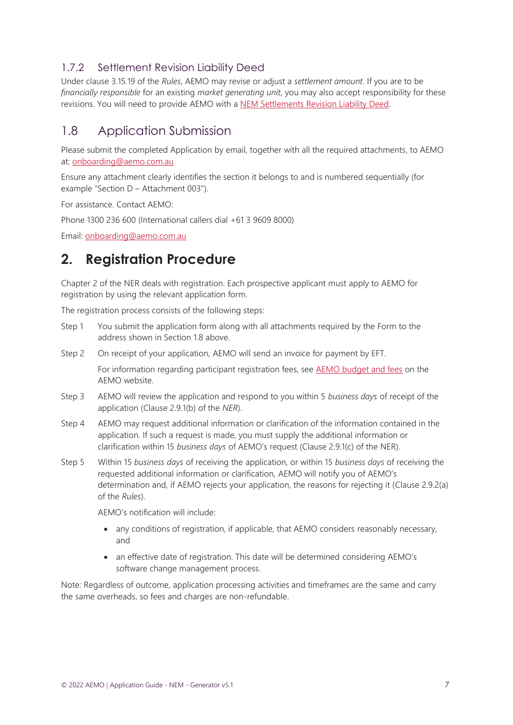## 1.7.2 Settlement Revision Liability Deed

Under clause 3.15.19 of the *Rules*, AEMO may revise or adjust a *settlement amount*. If you are to be *financially responsible* for an existing *market generating unit*, you may also accept responsibility for these revisions. You will need to provide AEMO with a [NEM Settlements Revision Liability Deed.](https://aemo.com.au/-/media/files/electricity/nem/participant_information/current-participants/nem-settlements-revisions-liability-deed.doc)

## <span id="page-6-0"></span>1.8 Application Submission

Please submit the completed Application by email, together with all the required attachments, to AEMO at: [onboarding@aemo.com.au](mailto:onboarding@aemo.com.au)

Ensure any attachment clearly identifies the section it belongs to and is numbered sequentially (for example "Section D – Attachment 003").

For assistance. Contact AEMO:

Phone 1300 236 600 (International callers dial +61 3 9609 8000)

Email: [onboarding@aemo.com.au](mailto:onboarding@aemo.com.au)

# <span id="page-6-1"></span>**2. Registration Procedure**

Chapter 2 of the NER deals with registration. Each prospective applicant must apply to AEMO for registration by using the relevant application form.

The registration process consists of the following steps:

- Step 1 You submit the application form along with all attachments required by the Form to the address shown in Section 1.8 above.
- Step 2 On receipt of your application, AEMO will send an invoice for payment by EFT.

For information regarding participant registration fees, see [AEMO budget and fees](https://aemo.com.au/About-AEMO/Energy-market-budget-and-fees) on the AEMO website.

- Step 3 AEMO will review the application and respond to you within 5 *business days* of receipt of the application (Clause 2.9.1(b) of the *NER*).
- Step 4 AEMO may request additional information or clarification of the information contained in the application. If such a request is made, you must supply the additional information or clarification within 15 *business days* of AEMO's request (Clause 2.9.1(c) of the NER).
- Step 5 Within 15 *business days* of receiving the application, or within 15 *business days* of receiving the requested additional information or clarification, AEMO will notify you of AEMO's determination and, if AEMO rejects your application, the reasons for rejecting it (Clause 2.9.2(a) of the *Rules*).

AEMO's notification will include:

- any conditions of registration, if applicable, that AEMO considers reasonably necessary, and
- an effective date of registration. This date will be determined considering AEMO's software change management process.

Note: Regardless of outcome, application processing activities and timeframes are the same and carry the same overheads, so fees and charges are non-refundable.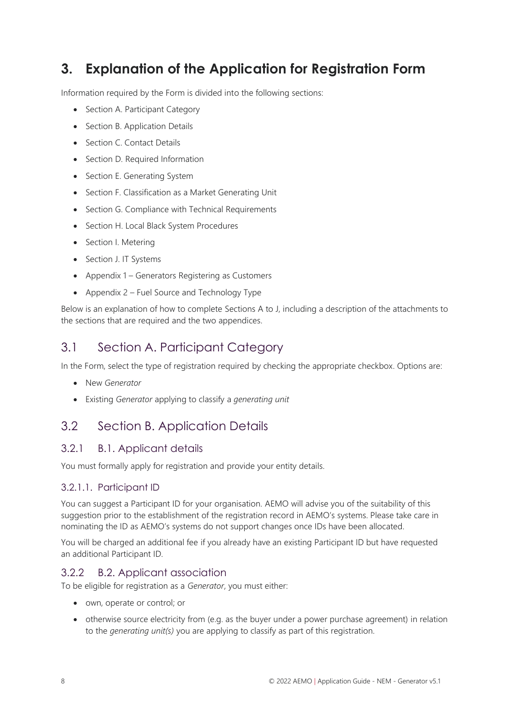# <span id="page-7-0"></span>**3. Explanation of the Application for Registration Form**

Information required by the Form is divided into the following sections:

- Section A. [Participant Category](#page-7-3)
- Section B. [Application](#page-7-4) Details
- [Section C. Contact Details](#page-8-1)
- [Section D. Required Information](#page-10-1)
- [Section E. Generating](#page-12-1) System
- [Section F. Classification as a Market Generating Unit](#page-17-1)
- Section G. Compliance [with Technical Requirements](#page-18-2)
- Section H. Local [Black System Procedures](#page-18-3)
- [Section I. Metering](#page-19-1)
- [Section J. IT Systems](#page-26-1)
- Appendix 1 [Generators Registering as Customers](#page-28-3)
- Appendix 2 [Fuel Source and Technology Type](#page-32-1)

Below is an explanation of how to complete Sections A to J, including a description of the attachments to the sections that are required and the two appendices.

## <span id="page-7-3"></span><span id="page-7-1"></span>3.1 Section A. Participant Category

In the Form, select the type of registration required by checking the appropriate checkbox. Options are:

- New *Generator*
- Existing *Generator* applying to classify a *generating unit*

## <span id="page-7-4"></span><span id="page-7-2"></span>3.2 Section B. Application Details

#### 3.2.1 B.1. Applicant details

You must formally apply for registration and provide your entity details.

#### 3.2.1.1. Participant ID

You can suggest a Participant ID for your organisation. AEMO will advise you of the suitability of this suggestion prior to the establishment of the registration record in AEMO's systems. Please take care in nominating the ID as AEMO's systems do not support changes once IDs have been allocated.

You will be charged an additional fee if you already have an existing Participant ID but have requested an additional Participant ID.

#### 3.2.2 B.2. Applicant association

To be eligible for registration as a *Generator*, you must either:

- own, operate or control; or
- otherwise source electricity from (e.g. as the buyer under a power purchase agreement) in relation to the *generating unit(s)* you are applying to classify as part of this registration.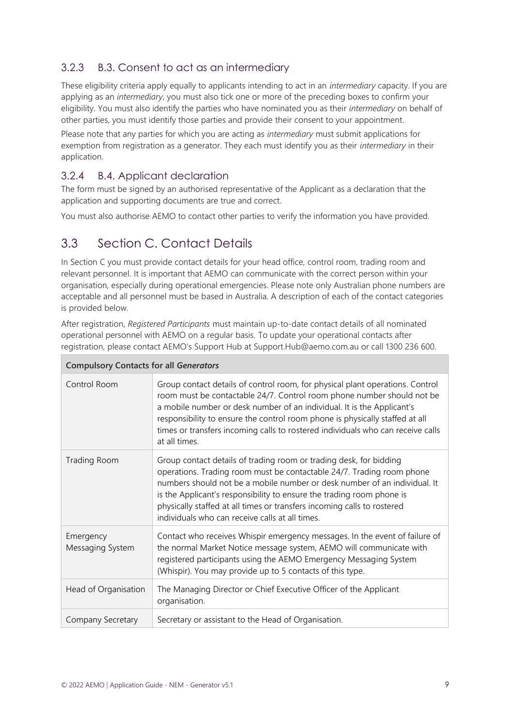## 3.2.3 B.3. Consent to act as an intermediary

These eligibility criteria apply equally to applicants intending to act in an *intermediary* capacity. If you are applying as an *intermediary*, you must also tick one or more of the preceding boxes to confirm your eligibility. You must also identify the parties who have nominated you as their *intermediary* on behalf of other parties, you must identify those parties and provide their consent to your appointment.

Please note that any parties for which you are acting as *intermediary* must submit applications for exemption from registration as a generator. They each must identify you as their *intermediary* in their application.

#### 3.2.4 B.4. Applicant declaration

The form must be signed by an authorised representative of the Applicant as a declaration that the application and supporting documents are true and correct.

You must also authorise AEMO to contact other parties to verify the information you have provided.

## <span id="page-8-1"></span><span id="page-8-0"></span>3.3 Section C. Contact Details

In Section C you must provide contact details for your head office, control room, trading room and relevant personnel. It is important that AEMO can communicate with the correct person within your organisation, especially during operational emergencies. Please note only Australian phone numbers are acceptable and all personnel must be based in Australia. A description of each of the contact categories is provided below.

After registration, *Registered Participants* must maintain up-to-date contact details of all nominated operational personnel with AEMO on a regular basis. To update your operational contacts after registration, please contact AEMO's Support Hub at Support.Hub@aemo.com.au or call 1300 236 600.

| <b>Compulsory Contacts for all Generators</b> |                                                                                                                                                                                                                                                                                                                                                                                                                                 |
|-----------------------------------------------|---------------------------------------------------------------------------------------------------------------------------------------------------------------------------------------------------------------------------------------------------------------------------------------------------------------------------------------------------------------------------------------------------------------------------------|
| Control Room                                  | Group contact details of control room, for physical plant operations. Control<br>room must be contactable 24/7. Control room phone number should not be<br>a mobile number or desk number of an individual. It is the Applicant's<br>responsibility to ensure the control room phone is physically staffed at all<br>times or transfers incoming calls to rostered individuals who can receive calls<br>at all times.           |
| Trading Room                                  | Group contact details of trading room or trading desk, for bidding<br>operations. Trading room must be contactable 24/7. Trading room phone<br>numbers should not be a mobile number or desk number of an individual. It<br>is the Applicant's responsibility to ensure the trading room phone is<br>physically staffed at all times or transfers incoming calls to rostered<br>individuals who can receive calls at all times. |
| Emergency<br>Messaging System                 | Contact who receives Whispir emergency messages. In the event of failure of<br>the normal Market Notice message system, AEMO will communicate with<br>registered participants using the AEMO Emergency Messaging System<br>(Whispir). You may provide up to 5 contacts of this type.                                                                                                                                            |
| Head of Organisation                          | The Managing Director or Chief Executive Officer of the Applicant<br>organisation.                                                                                                                                                                                                                                                                                                                                              |
| Company Secretary                             | Secretary or assistant to the Head of Organisation.                                                                                                                                                                                                                                                                                                                                                                             |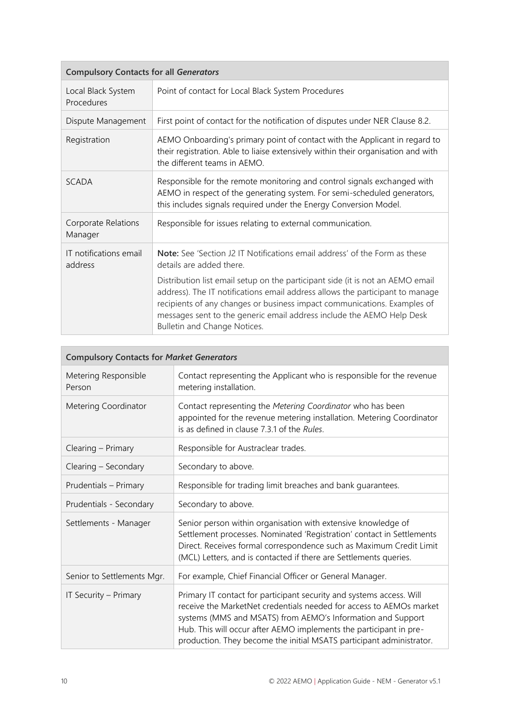| <b>Compulsory Contacts for all Generators</b> |                                                                                                                                                                                                                                                                                                                                                      |
|-----------------------------------------------|------------------------------------------------------------------------------------------------------------------------------------------------------------------------------------------------------------------------------------------------------------------------------------------------------------------------------------------------------|
| Local Black System<br>Procedures              | Point of contact for Local Black System Procedures                                                                                                                                                                                                                                                                                                   |
| Dispute Management                            | First point of contact for the notification of disputes under NER Clause 8.2.                                                                                                                                                                                                                                                                        |
| Registration                                  | AEMO Onboarding's primary point of contact with the Applicant in regard to<br>their registration. Able to liaise extensively within their organisation and with<br>the different teams in AEMO.                                                                                                                                                      |
| <b>SCADA</b>                                  | Responsible for the remote monitoring and control signals exchanged with<br>AEMO in respect of the generating system. For semi-scheduled generators,<br>this includes signals required under the Energy Conversion Model.                                                                                                                            |
| Corporate Relations<br>Manager                | Responsible for issues relating to external communication.                                                                                                                                                                                                                                                                                           |
| IT notifications email<br>address             | Note: See 'Section J2 IT Notifications email address' of the Form as these<br>details are added there.                                                                                                                                                                                                                                               |
|                                               | Distribution list email setup on the participant side (it is not an AEMO email<br>address). The IT notifications email address allows the participant to manage<br>recipients of any changes or business impact communications. Examples of<br>messages sent to the generic email address include the AEMO Help Desk<br>Bulletin and Change Notices. |

| <b>Compulsory Contacts for Market Generators</b> |                                                                                                                                                                                                                                                                                                                                                          |  |
|--------------------------------------------------|----------------------------------------------------------------------------------------------------------------------------------------------------------------------------------------------------------------------------------------------------------------------------------------------------------------------------------------------------------|--|
| Metering Responsible<br>Person                   | Contact representing the Applicant who is responsible for the revenue<br>metering installation.                                                                                                                                                                                                                                                          |  |
| Metering Coordinator                             | Contact representing the Metering Coordinator who has been<br>appointed for the revenue metering installation. Metering Coordinator<br>is as defined in clause 7.3.1 of the <i>Rules</i> .                                                                                                                                                               |  |
| Clearing – Primary                               | Responsible for Austraclear trades.                                                                                                                                                                                                                                                                                                                      |  |
| Clearing - Secondary                             | Secondary to above.                                                                                                                                                                                                                                                                                                                                      |  |
| Prudentials - Primary                            | Responsible for trading limit breaches and bank guarantees.                                                                                                                                                                                                                                                                                              |  |
| Prudentials - Secondary                          | Secondary to above.                                                                                                                                                                                                                                                                                                                                      |  |
| Settlements - Manager                            | Senior person within organisation with extensive knowledge of<br>Settlement processes. Nominated 'Registration' contact in Settlements<br>Direct. Receives formal correspondence such as Maximum Credit Limit<br>(MCL) Letters, and is contacted if there are Settlements queries.                                                                       |  |
| Senior to Settlements Mgr.                       | For example, Chief Financial Officer or General Manager.                                                                                                                                                                                                                                                                                                 |  |
| IT Security - Primary                            | Primary IT contact for participant security and systems access. Will<br>receive the MarketNet credentials needed for access to AEMOs market<br>systems (MMS and MSATS) from AEMO's Information and Support<br>Hub. This will occur after AEMO implements the participant in pre-<br>production. They become the initial MSATS participant administrator. |  |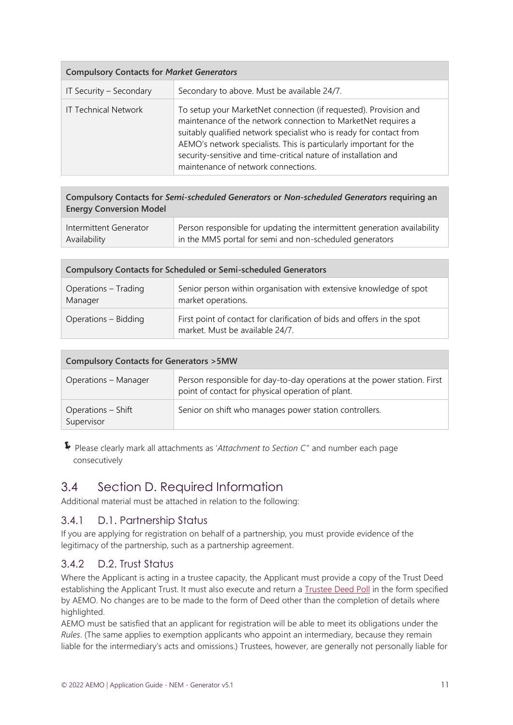| <b>Compulsory Contacts for Market Generators</b> |                                                                                                                                                                                                                                                                                                                                                                                          |  |
|--------------------------------------------------|------------------------------------------------------------------------------------------------------------------------------------------------------------------------------------------------------------------------------------------------------------------------------------------------------------------------------------------------------------------------------------------|--|
| IT Security - Secondary                          | Secondary to above. Must be available 24/7.                                                                                                                                                                                                                                                                                                                                              |  |
| <b>IT Technical Network</b>                      | To setup your MarketNet connection (if requested). Provision and<br>maintenance of the network connection to MarketNet requires a<br>suitably qualified network specialist who is ready for contact from<br>AEMO's network specialists. This is particularly important for the<br>security-sensitive and time-critical nature of installation and<br>maintenance of network connections. |  |

**Compulsory Contacts for** *Semi-scheduled Generators* **or** *Non-scheduled Generators* **requiring an Energy Conversion Model**

| Intermittent Generator | Person responsible for updating the intermittent generation availability |
|------------------------|--------------------------------------------------------------------------|
| Availability           | in the MMS portal for semi and non-scheduled generators                  |

| <b>Compulsory Contacts for Scheduled or Semi-scheduled Generators</b> |                                                                                                            |
|-----------------------------------------------------------------------|------------------------------------------------------------------------------------------------------------|
| Operations - Trading<br>Manager                                       | Senior person within organisation with extensive knowledge of spot<br>market operations.                   |
| Operations – Bidding                                                  | First point of contact for clarification of bids and offers in the spot<br>market. Must be available 24/7. |

| <b>Compulsory Contacts for Generators &gt; 5MW</b> |                                                                                                                               |
|----------------------------------------------------|-------------------------------------------------------------------------------------------------------------------------------|
| Operations - Manager                               | Person responsible for day-to-day operations at the power station. First<br>point of contact for physical operation of plant. |
| Operations – Shift<br>Supervisor                   | Senior on shift who manages power station controllers.                                                                        |

Please clearly mark all attachments as '*Attachment to Section C'*' and number each page consecutively

## <span id="page-10-1"></span><span id="page-10-0"></span>3.4 Section D. Required Information

Additional material must be attached in relation to the following:

#### 3.4.1 D.1. Partnership Status

If you are applying for registration on behalf of a partnership, you must provide evidence of the legitimacy of the partnership, such as a partnership agreement.

#### 3.4.2 D.2. Trust Status

Where the Applicant is acting in a trustee capacity, the Applicant must provide a copy of the Trust Deed establishing the Applicant Trust. It must also execute and return a [Trustee Deed](https://aemo.com.au/-/media/files/electricity/nem/participant_information/application-forms-and-supporting-documentation/aemo-nem-trustee-deed-poll.docx?la=en) Poll in the form specified by AEMO. No changes are to be made to the form of Deed other than the completion of details where highlighted.

AEMO must be satisfied that an applicant for registration will be able to meet its obligations under the *Rules*. (The same applies to exemption applicants who appoint an intermediary, because they remain liable for the intermediary's acts and omissions.) Trustees, however, are generally not personally liable for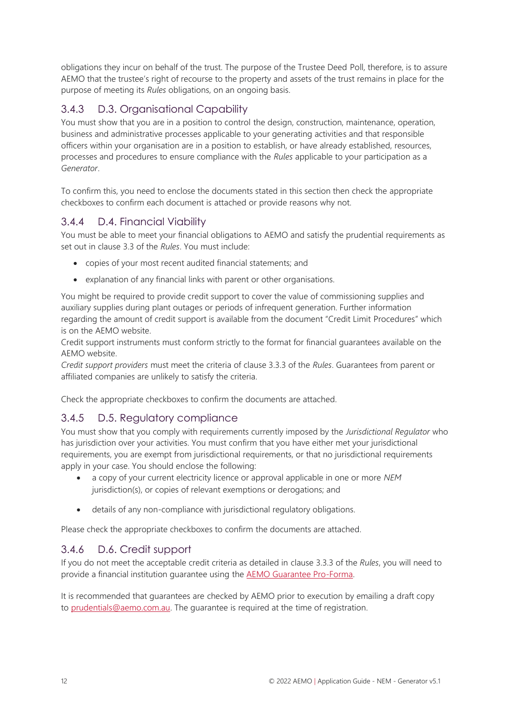obligations they incur on behalf of the trust. The purpose of the Trustee Deed Poll, therefore, is to assure AEMO that the trustee's right of recourse to the property and assets of the trust remains in place for the purpose of meeting its *Rules* obligations, on an ongoing basis.

## 3.4.3 D.3. Organisational Capability

You must show that you are in a position to control the design, construction, maintenance, operation, business and administrative processes applicable to your generating activities and that responsible officers within your organisation are in a position to establish, or have already established, resources, processes and procedures to ensure compliance with the *Rules* applicable to your participation as a *Generator*.

To confirm this, you need to enclose the documents stated in this section then check the appropriate checkboxes to confirm each document is attached or provide reasons why not.

## 3.4.4 D.4. Financial Viability

You must be able to meet your financial obligations to AEMO and satisfy the prudential requirements as set out in clause 3.3 of the *Rules*. You must include:

- copies of your most recent audited financial statements; and
- explanation of any financial links with parent or other organisations.

You might be required to provide credit support to cover the value of commissioning supplies and auxiliary supplies during plant outages or periods of infrequent generation. Further information regarding the amount of credit support is available from the document "Credit Limit Procedures" which is on the AEMO website.

Credit support instruments must conform strictly to the format for financial guarantees available on the AEMO website.

*Credit support providers* must meet the criteria of clause 3.3.3 of the *Rules*. Guarantees from parent or affiliated companies are unlikely to satisfy the criteria.

Check the appropriate checkboxes to confirm the documents are attached.

#### 3.4.5 D.5. Regulatory compliance

You must show that you comply with requirements currently imposed by the *Jurisdictional Regulator* who has jurisdiction over your activities. You must confirm that you have either met your jurisdictional requirements, you are exempt from jurisdictional requirements, or that no jurisdictional requirements apply in your case. You should enclose the following:

- a copy of your current electricity licence or approval applicable in one or more *NEM*  jurisdiction(s), or copies of relevant exemptions or derogations; and
- details of any non-compliance with jurisdictional regulatory obligations.

Please check the appropriate checkboxes to confirm the documents are attached.

#### 3.4.6 D.6. Credit support

If you do not meet the acceptable credit criteria as detailed in clause 3.3.3 of the *Rules*, you will need to provide a financial institution guarantee using the [AEMO Guarantee Pro-Forma.](https://www.aemo.com.au/-/media/files/about_aemo/aemo-bank-guarantee-pro-forma.pdf?la=en)

It is recommended that guarantees are checked by AEMO prior to execution by emailing a draft copy to [prudentials@aemo.com.au.](mailto:prudentials@aemo.com.au) The quarantee is required at the time of registration.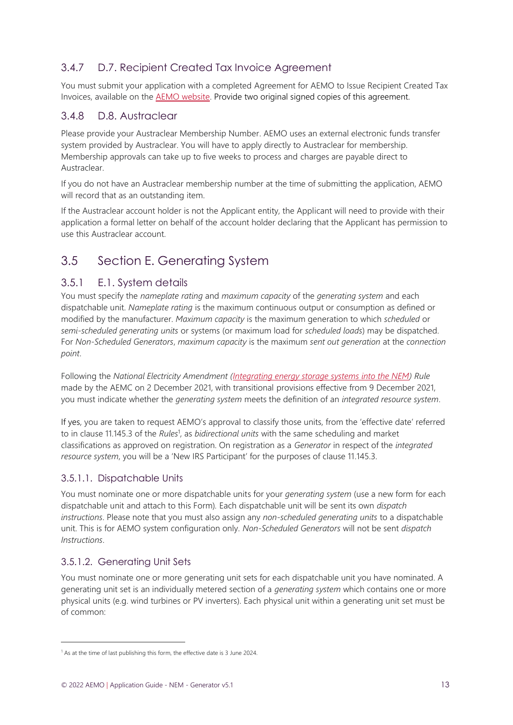## 3.4.7 D.7. Recipient Created Tax Invoice Agreement

You must submit your application with a completed Agreement for AEMO to Issue Recipient Created Tax Invoices, available on the AEMO [website.](https://aemo.com.au/-/media/Files/About_AEMO/Recipient-Created-Tax-Invoice-Agreement--2018-12-12.docx) Provide two original signed copies of this agreement.

#### 3.4.8 D.8. Austraclear

Please provide your Austraclear Membership Number. AEMO uses an external electronic funds transfer system provided by Austraclear. You will have to apply directly to Austraclear for membership. Membership approvals can take up to five weeks to process and charges are payable direct to Austraclear.

If you do not have an Austraclear membership number at the time of submitting the application, AEMO will record that as an outstanding item.

If the Austraclear account holder is not the Applicant entity, the Applicant will need to provide with their application a formal letter on behalf of the account holder declaring that the Applicant has permission to use this Austraclear account.

# <span id="page-12-1"></span><span id="page-12-0"></span>3.5 Section E. Generating System

#### 3.5.1 E.1. System details

You must specify the *nameplate rating* and *maximum capacity* of the *generating system* and each dispatchable unit. *Nameplate rating* is the maximum continuous output or consumption as defined or modified by the manufacturer. *Maximum capacity* is the maximum generation to which *scheduled* or *semi-scheduled generating units* or systems (or maximum load for *scheduled loads*) may be dispatched. For *Non-Scheduled Generators*, *maximum capacity* is the maximum *sent out generation* at the *connection point*.

Following the *National Electricity Amendment [\(Integrating energy storage systems into the NEM\)](https://aemc.gov.au/rule-changes/integrating-energy-storage-systems-nem) Rule* made by the AEMC on 2 December 2021, with transitional provisions effective from 9 December 2021, you must indicate whether the *generating system* meets the definition of an *integrated resource system*.

If yes, you are taken to request AEMO's approval to classify those units, from the 'effective date' referred to in clause 11.145.3 of the *Rules*<sup>1</sup> , as *bidirectional units* with the same scheduling and market classifications as approved on registration. On registration as a *Generator* in respect of the *integrated resource system*, you will be a 'New IRS Participant' for the purposes of clause 11.145.3.

#### 3.5.1.1. Dispatchable Units

You must nominate one or more dispatchable units for your *generating system* (use a new form for each dispatchable unit and attach to this Form)*.* Each dispatchable unit will be sent its own *dispatch instructions*. Please note that you must also assign any *non-scheduled generating units* to a dispatchable unit. This is for AEMO system configuration only. *Non-Scheduled Generators* will not be sent *dispatch Instructions*.

#### 3.5.1.2. Generating Unit Sets

You must nominate one or more generating unit sets for each dispatchable unit you have nominated. A generating unit set is an individually metered section of a *generating system* which contains one or more physical units (e.g. wind turbines or PV inverters). Each physical unit within a generating unit set must be of common:

<sup>&</sup>lt;sup>1</sup> As at the time of last publishing this form, the effective date is 3 June 2024.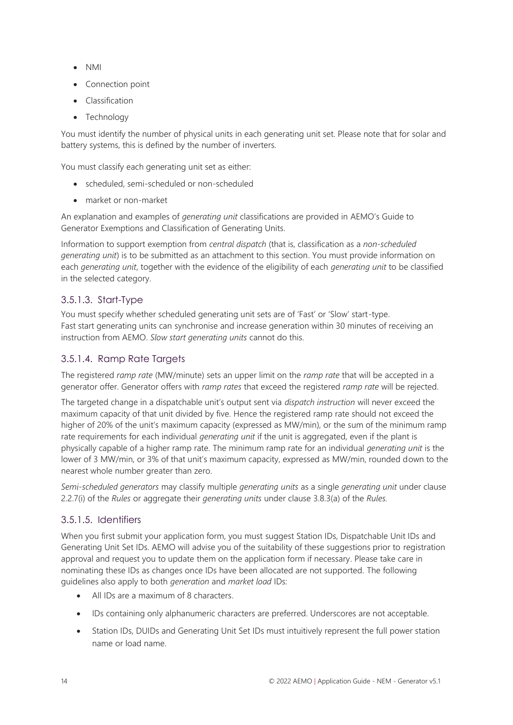- NMI
- Connection point
- Classification
- Technology

You must identify the number of physical units in each generating unit set. Please note that for solar and battery systems, this is defined by the number of inverters.

You must classify each generating unit set as either:

- scheduled, semi-scheduled or non-scheduled
- market or non-market

An explanation and examples of *generating unit* classifications are provided in AEMO's Guide to Generator Exemptions and Classification of Generating Units.

Information to support exemption from *central dispatch* (that is, classification as a *non-scheduled generating unit*) is to be submitted as an attachment to this section. You must provide information on each *generating unit*, together with the evidence of the eligibility of each *generating unit* to be classified in the selected category.

#### 3.5.1.3. Start-Type

You must specify whether scheduled generating unit sets are of 'Fast' or 'Slow' start-type. Fast start generating units can synchronise and increase generation within 30 minutes of receiving an instruction from AEMO. *Slow start generating units* cannot do this.

#### 3.5.1.4. Ramp Rate Targets

The registered *ramp rate* (MW/minute) sets an upper limit on the *ramp rate* that will be accepted in a generator offer. Generator offers with *ramp rates* that exceed the registered *ramp rate* will be rejected.

The targeted change in a dispatchable unit's output sent via *dispatch instruction* will never exceed the maximum capacity of that unit divided by five. Hence the registered ramp rate should not exceed the higher of 20% of the unit's maximum capacity (expressed as MW/min), or the sum of the minimum ramp rate requirements for each individual *generating unit* if the unit is aggregated, even if the plant is physically capable of a higher ramp rate. The minimum ramp rate for an individual *generating unit* is the lower of 3 MW/min, or 3% of that unit's maximum capacity, expressed as MW/min, rounded down to the nearest whole number greater than zero.

*Semi-scheduled generators* may classify multiple *generating units* as a single *generating unit* under clause 2.2.7(i) of the *Rules* or aggregate their *generating units* under clause 3.8.3(a) of the *Rules.*

#### 3.5.1.5. Identifiers

When you first submit your application form, you must suggest Station IDs, Dispatchable Unit IDs and Generating Unit Set IDs. AEMO will advise you of the suitability of these suggestions prior to registration approval and request you to update them on the application form if necessary. Please take care in nominating these IDs as changes once IDs have been allocated are not supported. The following guidelines also apply to both *generation* and *market load* IDs:

- All IDs are a maximum of 8 characters.
- IDs containing only alphanumeric characters are preferred. Underscores are not acceptable.
- Station IDs, DUIDs and Generating Unit Set IDs must intuitively represent the full power station name or load name.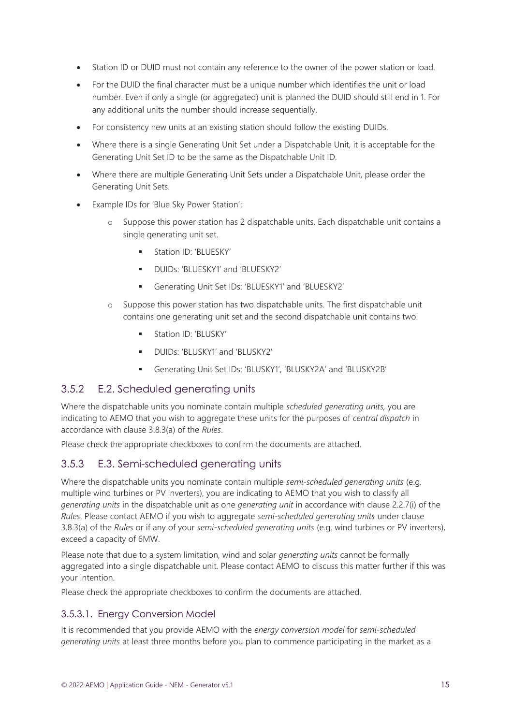- Station ID or DUID must not contain any reference to the owner of the power station or load.
- For the DUID the final character must be a unique number which identifies the unit or load number. Even if only a single (or aggregated) unit is planned the DUID should still end in 1. For any additional units the number should increase sequentially.
- For consistency new units at an existing station should follow the existing DUIDs.
- Where there is a single Generating Unit Set under a Dispatchable Unit, it is acceptable for the Generating Unit Set ID to be the same as the Dispatchable Unit ID.
- Where there are multiple Generating Unit Sets under a Dispatchable Unit, please order the Generating Unit Sets.
- Example IDs for 'Blue Sky Power Station':
	- o Suppose this power station has 2 dispatchable units. Each dispatchable unit contains a single generating unit set.
		- Station ID: 'BLUESKY'
		- DUIDs: 'BLUESKY1' and 'BLUESKY2'
		- Generating Unit Set IDs: 'BLUESKY1' and 'BLUESKY2'
	- o Suppose this power station has two dispatchable units. The first dispatchable unit contains one generating unit set and the second dispatchable unit contains two.
		- **■** Station ID: 'BLUSKY'
		- DUIDs: 'BLUSKY1' and 'BLUSKY2'
		- Generating Unit Set IDs: 'BLUSKY1', 'BLUSKY2A' and 'BLUSKY2B'

#### 3.5.2 E.2. Scheduled generating units

Where the dispatchable units you nominate contain multiple *scheduled generating units,* you are indicating to AEMO that you wish to aggregate these units for the purposes of *central dispatch* in accordance with clause 3.8.3(a) of the *Rules*.

Please check the appropriate checkboxes to confirm the documents are attached.

#### 3.5.3 E.3. Semi-scheduled generating units

Where the dispatchable units you nominate contain multiple *semi-scheduled generating units* (e.g. multiple wind turbines or PV inverters), you are indicating to AEMO that you wish to classify all *generating units* in the dispatchable unit as one *generating unit* in accordance with clause 2.2.7(i) of the *Rules*. Please contact AEMO if you wish to aggregate *semi-scheduled generating units* under clause 3.8.3(a) of the *Rules* or if any of your *semi-scheduled generating units* (e.g. wind turbines or PV inverters), exceed a capacity of 6MW.

Please note that due to a system limitation, wind and solar *generating units* cannot be formally aggregated into a single dispatchable unit. Please contact AEMO to discuss this matter further if this was your intention.

Please check the appropriate checkboxes to confirm the documents are attached.

#### 3.5.3.1. Energy Conversion Model

It is recommended that you provide AEMO with the *energy conversion model* for *semi-scheduled generating units* at least three months before you plan to commence participating in the market as a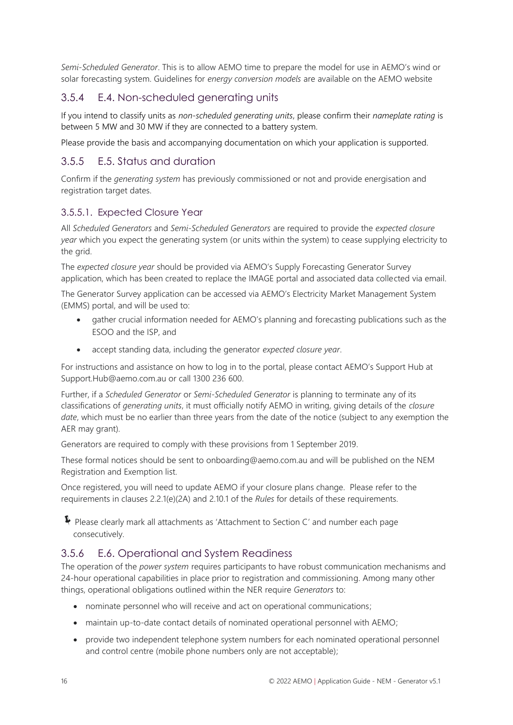*Semi-Scheduled Generator*. This is to allow AEMO time to prepare the model for use in AEMO's wind or solar forecasting system. Guidelines for *energy conversion models* are available on the AEMO website

### 3.5.4 E.4. Non-scheduled generating units

If you intend to classify units as *non*-*scheduled generating units*, please confirm their *nameplate rating* is between 5 MW and 30 MW if they are connected to a battery system.

Please provide the basis and accompanying documentation on which your application is supported.

#### 3.5.5 E.5. Status and duration

Confirm if the *generating system* has previously commissioned or not and provide energisation and registration target dates.

#### 3.5.5.1. Expected Closure Year

All *Scheduled Generators* and *Semi-Scheduled Generators* are required to provide the *expected closure year* which you expect the generating system (or units within the system) to cease supplying electricity to the grid.

The *expected closure year* should be provided via AEMO's Supply Forecasting Generator Survey application, which has been created to replace the IMAGE portal and associated data collected via email.

The Generator Survey application can be accessed via AEMO's Electricity Market Management System (EMMS) portal, and will be used to:

- gather crucial information needed for AEMO's planning and forecasting publications such as the ESOO and the ISP, and
- accept standing data, including the generator *expected closure year*.

For instructions and assistance on how to log in to the portal, please contact AEMO's Support Hub at Support.Hub@aemo.com.au or call 1300 236 600.

Further, if a *Scheduled Generator* or *Semi-Scheduled Generator* is planning to terminate any of its classifications of *generating units*, it must officially notify AEMO in writing, giving details of the *closure date*, which must be no earlier than three years from the date of the notice (subject to any exemption the AER may grant).

Generators are required to comply with these provisions from 1 September 2019.

These formal notices should be sent to onboarding@aemo.com.au and will be published on the NEM Registration and Exemption list.

Once registered, you will need to update AEMO if your closure plans change. Please refer to the requirements in clauses 2.2.1(e)(2A) and 2.10.1 of the *Rules* for details of these requirements.

Please clearly mark all attachments as 'Attachment to Section C' and number each page consecutively.

#### 3.5.6 E.6. Operational and System Readiness

The operation of the *power system* requires participants to have robust communication mechanisms and 24-hour operational capabilities in place prior to registration and commissioning. Among many other things, operational obligations outlined within the NER require *Generators* to:

- nominate personnel who will receive and act on operational communications;
- maintain up-to-date contact details of nominated operational personnel with AEMO;
- provide two independent telephone system numbers for each nominated operational personnel and control centre (mobile phone numbers only are not acceptable);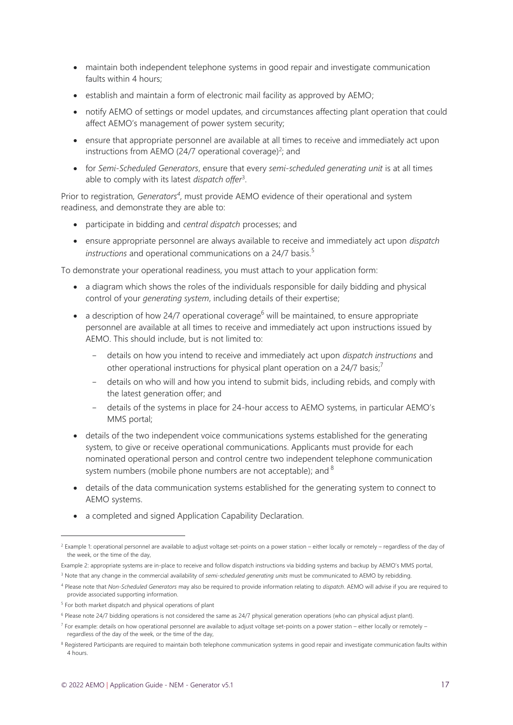- maintain both independent telephone systems in good repair and investigate communication faults within 4 hours;
- establish and maintain a form of electronic mail facility as approved by AEMO;
- notify AEMO of settings or model updates, and circumstances affecting plant operation that could affect AEMO's management of power system security;
- ensure that appropriate personnel are available at all times to receive and immediately act upon instructions from AEMO (24/7 operational coverage)<sup>2</sup>; and
- for *Semi-Scheduled Generators*, ensure that every *semi-scheduled generating unit* is at all times able to comply with its latest *dispatch offer*<sup>3</sup> .

Prior to registration, *Generators<sup>4</sup>*, must provide AEMO evidence of their operational and system readiness, and demonstrate they are able to:

- participate in bidding and *central dispatch* processes; and
- ensure appropriate personnel are always available to receive and immediately act upon *dispatch instructions* and operational communications on a 24/7 basis.<sup>5</sup>

To demonstrate your operational readiness, you must attach to your application form:

- a diagram which shows the roles of the individuals responsible for daily bidding and physical control of your *generating system*, including details of their expertise;
- a description of how 24/7 operational coverage<sup>6</sup> will be maintained, to ensure appropriate personnel are available at all times to receive and immediately act upon instructions issued by AEMO. This should include, but is not limited to:
	- details on how you intend to receive and immediately act upon *dispatch instructions* and other operational instructions for physical plant operation on a 24/7 basis;<sup>7</sup>
	- details on who will and how you intend to submit bids, including rebids, and comply with the latest generation offer; and
	- details of the systems in place for 24-hour access to AEMO systems, in particular AEMO's MMS portal;
- details of the two independent voice communications systems established for the generating system, to give or receive operational communications. Applicants must provide for each nominated operational person and control centre two independent telephone communication system numbers (mobile phone numbers are not acceptable); and  $8$
- details of the data communication systems established for the generating system to connect to AEMO systems.
- a completed and signed Application Capability Declaration.

 $^2$  Example 1: operational personnel are available to adjust voltage set-points on a power station – either locally or remotely – regardless of the day of the week, or the time of the day,

Example 2: appropriate systems are in-place to receive and follow dispatch instructions via bidding systems and backup by AEMO's MMS portal,

<sup>3</sup> Note that any change in the commercial availability of *semi-scheduled generating units* must be communicated to AEMO by rebidding.

<sup>4</sup> Please note that *Non-Scheduled Generators* may also be required to provide information relating to *dispatch*. AEMO will advise if you are required to provide associated supporting information.

<sup>&</sup>lt;sup>5</sup> For both market dispatch and physical operations of plant

<sup>6</sup> Please note 24/7 bidding operations is not considered the same as 24/7 physical generation operations (who can physical adjust plant).

<sup>&</sup>lt;sup>7</sup> For example: details on how operational personnel are available to adjust voltage set-points on a power station – either locally or remotely – regardless of the day of the week, or the time of the day,

<sup>&</sup>lt;sup>8</sup> Registered Participants are required to maintain both telephone communication systems in good repair and investigate communication faults within 4 hours.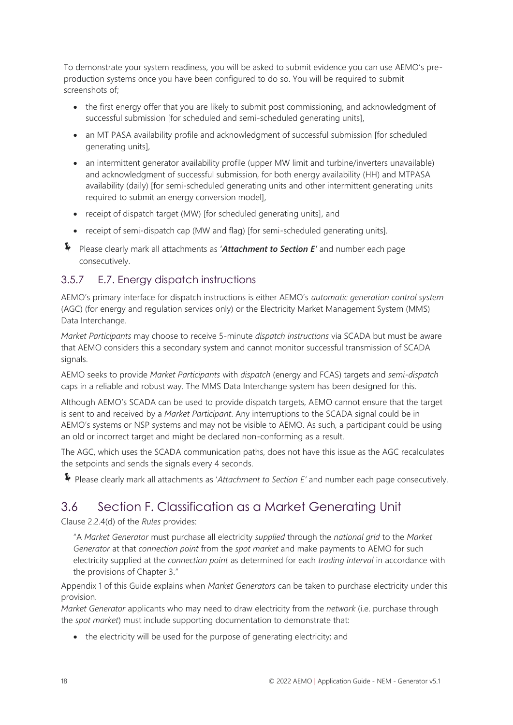To demonstrate your system readiness, you will be asked to submit evidence you can use AEMO's preproduction systems once you have been configured to do so. You will be required to submit screenshots of;

- the first energy offer that you are likely to submit post commissioning, and acknowledgment of successful submission [for scheduled and semi-scheduled generating units],
- an MT PASA availability profile and acknowledgment of successful submission [for scheduled generating units],
- an intermittent generator availability profile (upper MW limit and turbine/inverters unavailable) and acknowledgment of successful submission, for both energy availability (HH) and MTPASA availability (daily) [for semi-scheduled generating units and other intermittent generating units required to submit an energy conversion model],
- receipt of dispatch target (MW) [for scheduled generating units], and
- receipt of semi-dispatch cap (MW and flag) [for semi-scheduled generating units].
- Please clearly mark all attachments as **'***Attachment to Section E'* and number each page consecutively.

#### 3.5.7 E.7. Energy dispatch instructions

AEMO's primary interface for dispatch instructions is either AEMO's *automatic generation control system*  (AGC) (for energy and regulation services only) or the Electricity Market Management System (MMS) Data Interchange.

*Market Participants* may choose to receive 5-minute *dispatch instructions* via SCADA but must be aware that AEMO considers this a secondary system and cannot monitor successful transmission of SCADA signals.

AEMO seeks to provide *Market Participants* with *dispatch* (energy and FCAS) targets and *semi-dispatch* caps in a reliable and robust way. The MMS Data Interchange system has been designed for this.

Although AEMO's SCADA can be used to provide dispatch targets, AEMO cannot ensure that the target is sent to and received by a *Market Participant*. Any interruptions to the SCADA signal could be in AEMO's systems or NSP systems and may not be visible to AEMO. As such, a participant could be using an old or incorrect target and might be declared non-conforming as a result.

The AGC, which uses the SCADA communication paths, does not have this issue as the AGC recalculates the setpoints and sends the signals every 4 seconds.

<span id="page-17-1"></span><span id="page-17-0"></span>Please clearly mark all attachments as '*Attachment to Section E'* and number each page consecutively.

## 3.6 Section F. Classification as a Market Generating Unit

Clause 2.2.4(d) of the *Rules* provides:

"A *Market Generator* must purchase all electricity *supplied* through the *national grid* to the *Market Generator* at that *connection point* from the *spot market* and make payments to AEMO for such electricity supplied at the *connection point* as determined for each *trading interval* in accordance with the provisions of Chapter 3."

Appendix 1 of this Guide explains when *Market Generators* can be taken to purchase electricity under this provision.

*Market Generator* applicants who may need to draw electricity from the *network* (i.e. purchase through the *spot market*) must include supporting documentation to demonstrate that:

• the electricity will be used for the purpose of generating electricity; and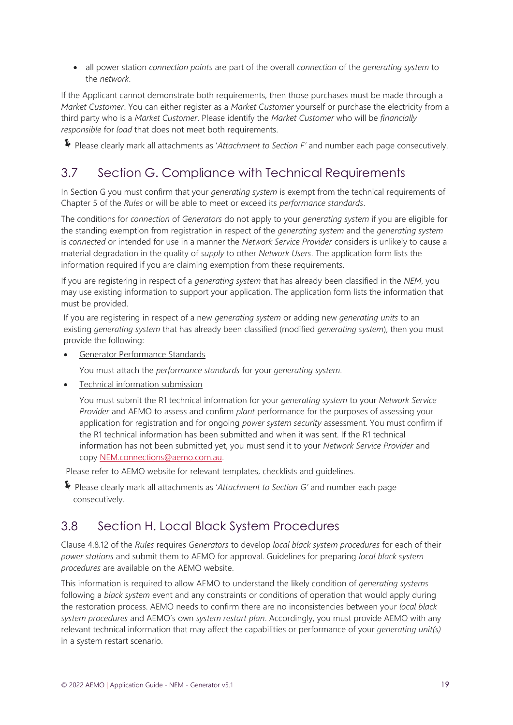• all power station *connection points* are part of the overall *connection* of the *generating system* to the *network*.

If the Applicant cannot demonstrate both requirements, then those purchases must be made through a *Market Customer*. You can either register as a *Market Customer* yourself or purchase the electricity from a third party who is a *Market Customer*. Please identify the *Market Customer* who will be *financially responsible* for *load* that does not meet both requirements.

<span id="page-18-2"></span><span id="page-18-0"></span>Please clearly mark all attachments as '*Attachment to Section F'* and number each page consecutively.

## 3.7 Section G. Compliance with Technical Requirements

In Section G you must confirm that your *generating system* is exempt from the technical requirements of Chapter 5 of the *Rules* or will be able to meet or exceed its *performance standards*.

The conditions for *connection* of *Generators* do not apply to your *generating system* if you are eligible for the standing exemption from registration in respect of the *generating system* and the *generating system* is *connected* or intended for use in a manner the *Network Service Provider* considers is unlikely to cause a material degradation in the quality of *supply* to other *Network Users*. The application form lists the information required if you are claiming exemption from these requirements.

If you are registering in respect of a *generating system* that has already been classified in the *NEM*, you may use existing information to support your application. The application form lists the information that must be provided.

If you are registering in respect of a new *generating system* or adding new *generating units* to an existing *generating system* that has already been classified (modified *generating system*), then you must provide the following:

• Generator Performance Standards

You must attach the *performance standards* for your *generating system*.

• Technical information submission

You must submit the R1 technical information for your *generating system* to your *Network Service Provider* and AEMO to assess and confirm *plant* performance for the purposes of assessing your application for registration and for ongoing *power system security* assessment. You must confirm if the R1 technical information has been submitted and when it was sent. If the R1 technical information has not been submitted yet, you must send it to your *Network Service Provider* and cop[y NEM.connections@aemo.com.au.](mailto:NEM.connections@aemo.com.au)

Please refer to AEMO website for relevant templates, checklists and guidelines.

Please clearly mark all attachments as '*Attachment to Section G'* and number each page consecutively.

## <span id="page-18-3"></span><span id="page-18-1"></span>3.8 Section H. Local Black System Procedures

Clause 4.8.12 of the *Rules* requires *Generators* to develop *local black system procedures* for each of their *power stations* and submit them to AEMO for approval. Guidelines for preparing *local black system procedures* are available on the AEMO website.

This information is required to allow AEMO to understand the likely condition of *generating systems*  following a *black system* event and any constraints or conditions of operation that would apply during the restoration process. AEMO needs to confirm there are no inconsistencies between your *local black system procedures* and AEMO's own *system restart plan*. Accordingly, you must provide AEMO with any relevant technical information that may affect the capabilities or performance of your *generating unit(s)* in a system restart scenario.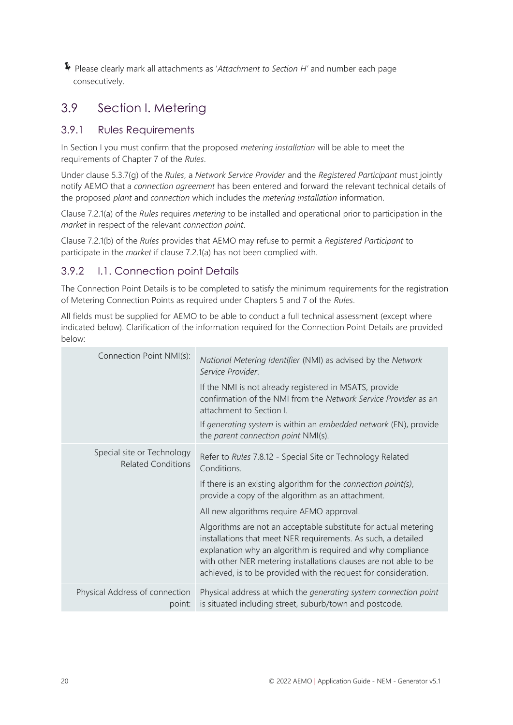Please clearly mark all attachments as '*Attachment to Section H'* and number each page consecutively.

# <span id="page-19-1"></span><span id="page-19-0"></span>3.9 Section I. Metering

#### 3.9.1 Rules Requirements

In Section I you must confirm that the proposed *metering installation* will be able to meet the requirements of Chapter 7 of the *Rules*.

Under clause 5.3.7(g) of the *Rules*, a *Network Service Provider* and the *Registered Participant* must jointly notify AEMO that a *connection agreement* has been entered and forward the relevant technical details of the proposed *plant* and *connection* which includes the *metering installation* information.

Clause 7.2.1(a) of the *Rules* requires *metering* to be installed and operational prior to participation in the *market* in respect of the relevant *connection point*.

Clause 7.2.1(b) of the *Rules* provides that AEMO may refuse to permit a *Registered Participant* to participate in the *market* if clause 7.2.1(a) has not been complied with.

#### 3.9.2 I.1. Connection point Details

The Connection Point Details is to be completed to satisfy the minimum requirements for the registration of Metering Connection Points as required under Chapters 5 and 7 of the *Rules*.

All fields must be supplied for AEMO to be able to conduct a full technical assessment (except where indicated below). Clarification of the information required for the Connection Point Details are provided below:

| Connection Point NMI(s):                                | National Metering Identifier (NMI) as advised by the Network<br>Service Provider.<br>If the NMI is not already registered in MSATS, provide<br>confirmation of the NMI from the Network Service Provider as an<br>attachment to Section I.<br>If generating system is within an embedded network (EN), provide                         |
|---------------------------------------------------------|----------------------------------------------------------------------------------------------------------------------------------------------------------------------------------------------------------------------------------------------------------------------------------------------------------------------------------------|
|                                                         | the parent connection point NMI(s).                                                                                                                                                                                                                                                                                                    |
| Special site or Technology<br><b>Related Conditions</b> | Refer to Rules 7.8.12 - Special Site or Technology Related<br>Conditions.                                                                                                                                                                                                                                                              |
|                                                         | If there is an existing algorithm for the connection point(s),<br>provide a copy of the algorithm as an attachment.                                                                                                                                                                                                                    |
|                                                         | All new algorithms require AEMO approval.                                                                                                                                                                                                                                                                                              |
|                                                         | Algorithms are not an acceptable substitute for actual metering<br>installations that meet NER requirements. As such, a detailed<br>explanation why an algorithm is required and why compliance<br>with other NER metering installations clauses are not able to be<br>achieved, is to be provided with the request for consideration. |
| Physical Address of connection<br>point:                | Physical address at which the generating system connection point<br>is situated including street, suburb/town and postcode.                                                                                                                                                                                                            |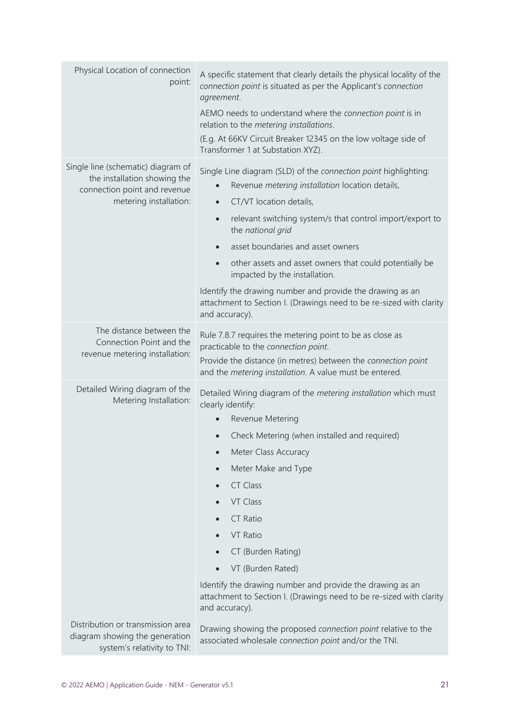| Physical Location of connection<br>point:                                                                                    | A specific statement that clearly details the physical locality of the<br>connection point is situated as per the Applicant's connection<br>agreement.<br>AEMO needs to understand where the connection point is in<br>relation to the metering installations.<br>(E.g. At 66KV Circuit Breaker 12345 on the low voltage side of<br>Transformer 1 at Substation XYZ).                                                                                                                                                                                                      |
|------------------------------------------------------------------------------------------------------------------------------|----------------------------------------------------------------------------------------------------------------------------------------------------------------------------------------------------------------------------------------------------------------------------------------------------------------------------------------------------------------------------------------------------------------------------------------------------------------------------------------------------------------------------------------------------------------------------|
| Single line (schematic) diagram of<br>the installation showing the<br>connection point and revenue<br>metering installation: | Single Line diagram (SLD) of the connection point highlighting:<br>Revenue metering installation location details,<br>CT/VT location details,<br>$\bullet$<br>relevant switching system/s that control import/export to<br>$\bullet$<br>the national grid<br>asset boundaries and asset owners<br>$\bullet$<br>other assets and asset owners that could potentially be<br>$\bullet$<br>impacted by the installation.<br>Identify the drawing number and provide the drawing as an<br>attachment to Section I. (Drawings need to be re-sized with clarity<br>and accuracy). |
| The distance between the<br>Connection Point and the<br>revenue metering installation:                                       | Rule 7.8.7 requires the metering point to be as close as<br>practicable to the connection point.<br>Provide the distance (in metres) between the connection point<br>and the metering installation. A value must be entered.                                                                                                                                                                                                                                                                                                                                               |
| Detailed Wiring diagram of the<br>Metering Installation:                                                                     | Detailed Wiring diagram of the metering installation which must<br>clearly identify:<br>Revenue Metering<br>$\bullet$<br>Check Metering (when installed and required)<br>Meter Class Accuracy<br>Meter Make and Type<br><b>CT Class</b><br>VT Class<br><b>CT Ratio</b><br>VT Ratio<br>CT (Burden Rating)<br>VT (Burden Rated)<br>Identify the drawing number and provide the drawing as an<br>attachment to Section I. (Drawings need to be re-sized with clarity<br>and accuracy).                                                                                        |
| Distribution or transmission area<br>diagram showing the generation<br>system's relativity to TNI:                           | Drawing showing the proposed connection point relative to the<br>associated wholesale connection point and/or the TNI.                                                                                                                                                                                                                                                                                                                                                                                                                                                     |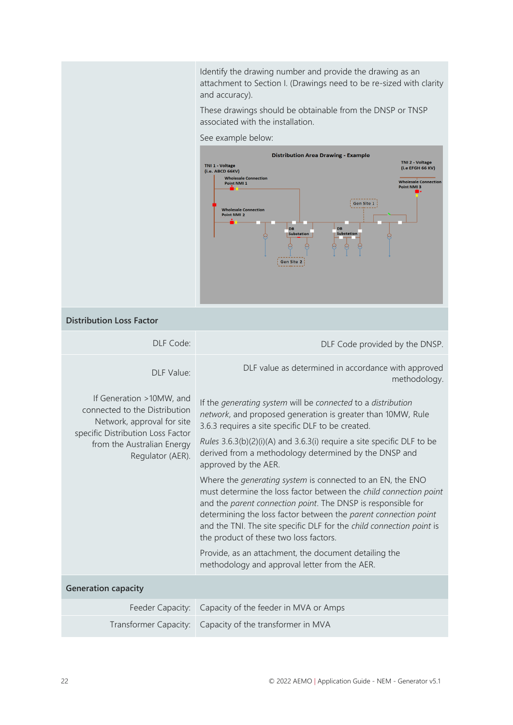Identify the drawing number and provide the drawing as an attachment to Section I. (Drawings need to be re-sized with clarity and accuracy).

These drawings should be obtainable from the DNSP or TNSP associated with the installation.

#### See example below:



#### **Distribution Loss Factor**

| DLF Code:                                                                                                                                                                      | DLF Code provided by the DNSP.                                                                                                                                                                                                                                                                                                                                                                                                                                                                                                                            |
|--------------------------------------------------------------------------------------------------------------------------------------------------------------------------------|-----------------------------------------------------------------------------------------------------------------------------------------------------------------------------------------------------------------------------------------------------------------------------------------------------------------------------------------------------------------------------------------------------------------------------------------------------------------------------------------------------------------------------------------------------------|
| DLF Value:                                                                                                                                                                     | DLF value as determined in accordance with approved<br>methodology.                                                                                                                                                                                                                                                                                                                                                                                                                                                                                       |
| If Generation >10MW, and<br>connected to the Distribution<br>Network, approval for site<br>specific Distribution Loss Factor<br>from the Australian Energy<br>Regulator (AER). | If the generating system will be connected to a distribution<br>network, and proposed generation is greater than 10MW, Rule<br>3.6.3 requires a site specific DLF to be created.<br><i>Rules</i> $3.6.3(b)(2)(i)(A)$ and $3.6.3(i)$ require a site specific DLF to be<br>derived from a methodology determined by the DNSP and<br>approved by the AER.<br>Where the generating system is connected to an EN, the ENO<br>must determine the loss factor between the child connection point<br>and the parent connection point. The DNSP is responsible for |
|                                                                                                                                                                                | determining the loss factor between the parent connection point<br>and the TNI. The site specific DLF for the child connection point is<br>the product of these two loss factors.                                                                                                                                                                                                                                                                                                                                                                         |
|                                                                                                                                                                                | Provide, as an attachment, the document detailing the<br>methodology and approval letter from the AER.                                                                                                                                                                                                                                                                                                                                                                                                                                                    |
| <b>Generation capacity</b>                                                                                                                                                     |                                                                                                                                                                                                                                                                                                                                                                                                                                                                                                                                                           |
|                                                                                                                                                                                | Feeder Capacity:   Capacity of the feeder in MVA or Amps                                                                                                                                                                                                                                                                                                                                                                                                                                                                                                  |
| Transformer Capacity:                                                                                                                                                          | Capacity of the transformer in MVA                                                                                                                                                                                                                                                                                                                                                                                                                                                                                                                        |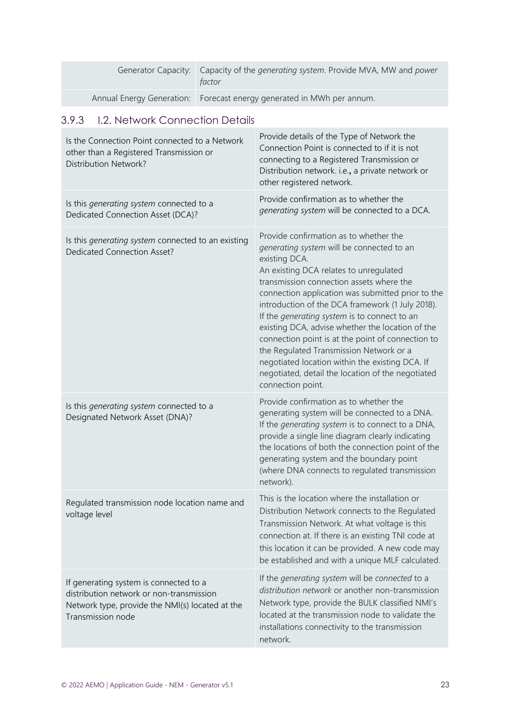| Generator Capacity: Capacity of the generating system. Provide MVA, MW and power<br>factor |
|--------------------------------------------------------------------------------------------|
| Annual Energy Generation:   Forecast energy generated in MWh per annum.                    |

## 3.9.3 I.2. Network Connection Details

| Is the Connection Point connected to a Network<br>other than a Registered Transmission or<br><b>Distribution Network?</b>                                  | Provide details of the Type of Network the<br>Connection Point is connected to if it is not<br>connecting to a Registered Transmission or<br>Distribution network. i.e., a private network or<br>other registered network.                                                                                                                                                                                                                                                                                                                                                                                                           |
|------------------------------------------------------------------------------------------------------------------------------------------------------------|--------------------------------------------------------------------------------------------------------------------------------------------------------------------------------------------------------------------------------------------------------------------------------------------------------------------------------------------------------------------------------------------------------------------------------------------------------------------------------------------------------------------------------------------------------------------------------------------------------------------------------------|
| Is this generating system connected to a<br>Dedicated Connection Asset (DCA)?                                                                              | Provide confirmation as to whether the<br>generating system will be connected to a DCA.                                                                                                                                                                                                                                                                                                                                                                                                                                                                                                                                              |
| Is this <i>generating system</i> connected to an existing<br><b>Dedicated Connection Asset?</b>                                                            | Provide confirmation as to whether the<br>generating system will be connected to an<br>existing DCA.<br>An existing DCA relates to unregulated<br>transmission connection assets where the<br>connection application was submitted prior to the<br>introduction of the DCA framework (1 July 2018).<br>If the generating system is to connect to an<br>existing DCA, advise whether the location of the<br>connection point is at the point of connection to<br>the Regulated Transmission Network or a<br>negotiated location within the existing DCA. If<br>negotiated, detail the location of the negotiated<br>connection point. |
| Is this generating system connected to a<br>Designated Network Asset (DNA)?                                                                                | Provide confirmation as to whether the<br>generating system will be connected to a DNA.<br>If the generating system is to connect to a DNA,<br>provide a single line diagram clearly indicating<br>the locations of both the connection point of the<br>generating system and the boundary point<br>(where DNA connects to regulated transmission<br>network).                                                                                                                                                                                                                                                                       |
| Regulated transmission node location name and<br>voltage level                                                                                             | This is the location where the installation or<br>Distribution Network connects to the Regulated<br>Transmission Network. At what voltage is this<br>connection at. If there is an existing TNI code at<br>this location it can be provided. A new code may<br>be established and with a unique MLF calculated.                                                                                                                                                                                                                                                                                                                      |
| If generating system is connected to a<br>distribution network or non-transmission<br>Network type, provide the NMI(s) located at the<br>Transmission node | If the generating system will be connected to a<br>distribution network or another non-transmission<br>Network type, provide the BULK classified NMI's<br>located at the transmission node to validate the<br>installations connectivity to the transmission<br>network.                                                                                                                                                                                                                                                                                                                                                             |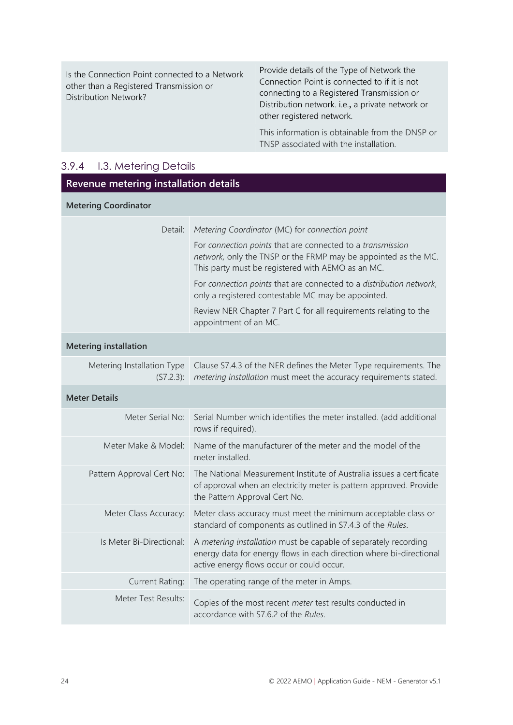| Is the Connection Point connected to a Network<br>other than a Registered Transmission or<br><b>Distribution Network?</b> | Provide details of the Type of Network the<br>Connection Point is connected to if it is not<br>connecting to a Registered Transmission or<br>Distribution network. i.e., a private network or<br>other registered network. |
|---------------------------------------------------------------------------------------------------------------------------|----------------------------------------------------------------------------------------------------------------------------------------------------------------------------------------------------------------------------|
|                                                                                                                           | This information is obtainable from the DNSP or<br>TNSP associated with the installation.                                                                                                                                  |

## 3.9.4 I.3. Metering Details

| Revenue metering installation details   |                                                                                                                                                                                     |
|-----------------------------------------|-------------------------------------------------------------------------------------------------------------------------------------------------------------------------------------|
| <b>Metering Coordinator</b>             |                                                                                                                                                                                     |
| Detail:                                 | Metering Coordinator (MC) for connection point                                                                                                                                      |
|                                         | For connection points that are connected to a transmission<br>network, only the TNSP or the FRMP may be appointed as the MC.<br>This party must be registered with AEMO as an MC.   |
|                                         | For connection points that are connected to a distribution network,<br>only a registered contestable MC may be appointed.                                                           |
|                                         | Review NER Chapter 7 Part C for all requirements relating to the<br>appointment of an MC.                                                                                           |
| <b>Metering installation</b>            |                                                                                                                                                                                     |
| Metering Installation Type<br>(S7.2.3): | Clause S7.4.3 of the NER defines the Meter Type requirements. The<br>metering installation must meet the accuracy requirements stated.                                              |
| <b>Meter Details</b>                    |                                                                                                                                                                                     |
| Meter Serial No:                        | Serial Number which identifies the meter installed. (add additional<br>rows if required).                                                                                           |
| Meter Make & Model:                     | Name of the manufacturer of the meter and the model of the<br>meter installed.                                                                                                      |
| Pattern Approval Cert No:               | The National Measurement Institute of Australia issues a certificate<br>of approval when an electricity meter is pattern approved. Provide<br>the Pattern Approval Cert No.         |
| Meter Class Accuracy:                   | Meter class accuracy must meet the minimum acceptable class or<br>standard of components as outlined in S7.4.3 of the Rules.                                                        |
| Is Meter Bi-Directional:                | A metering installation must be capable of separately recording<br>energy data for energy flows in each direction where bi-directional<br>active energy flows occur or could occur. |
| <b>Current Rating:</b>                  | The operating range of the meter in Amps.                                                                                                                                           |
| Meter Test Results:                     | Copies of the most recent meter test results conducted in<br>accordance with S7.6.2 of the Rules.                                                                                   |
|                                         |                                                                                                                                                                                     |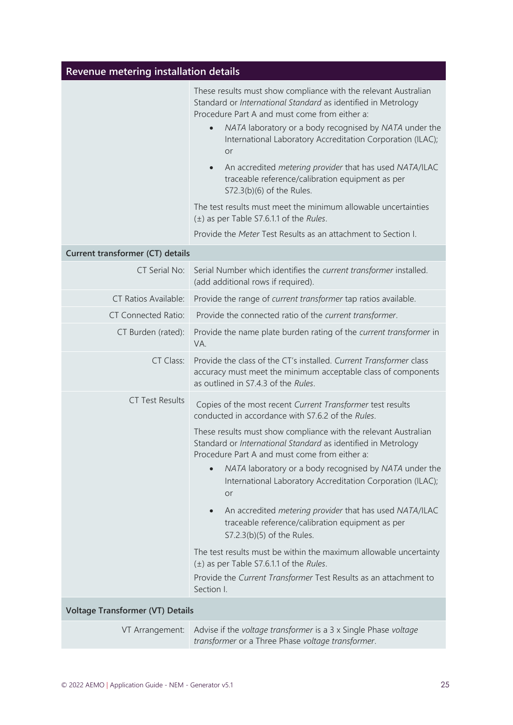| Revenue metering installation details   |                                                                                                                                                                                                                                                                                                                                                                                                                                                                          |
|-----------------------------------------|--------------------------------------------------------------------------------------------------------------------------------------------------------------------------------------------------------------------------------------------------------------------------------------------------------------------------------------------------------------------------------------------------------------------------------------------------------------------------|
|                                         | These results must show compliance with the relevant Australian<br>Standard or International Standard as identified in Metrology<br>Procedure Part A and must come from either a:<br>NATA laboratory or a body recognised by NATA under the<br>International Laboratory Accreditation Corporation (ILAC);<br>or<br>An accredited metering provider that has used NATA/ILAC<br>$\bullet$<br>traceable reference/calibration equipment as per<br>S72.3(b)(6) of the Rules. |
|                                         | The test results must meet the minimum allowable uncertainties<br>$(\pm)$ as per Table S7.6.1.1 of the Rules.                                                                                                                                                                                                                                                                                                                                                            |
|                                         | Provide the Meter Test Results as an attachment to Section I.                                                                                                                                                                                                                                                                                                                                                                                                            |
| Current transformer (CT) details        |                                                                                                                                                                                                                                                                                                                                                                                                                                                                          |
| CT Serial No:                           | Serial Number which identifies the current transformer installed.<br>(add additional rows if required).                                                                                                                                                                                                                                                                                                                                                                  |
| CT Ratios Available:                    | Provide the range of current transformer tap ratios available.                                                                                                                                                                                                                                                                                                                                                                                                           |
| <b>CT Connected Ratio:</b>              | Provide the connected ratio of the current transformer.                                                                                                                                                                                                                                                                                                                                                                                                                  |
| CT Burden (rated):                      | Provide the name plate burden rating of the current transformer in<br>VA.                                                                                                                                                                                                                                                                                                                                                                                                |
| CT Class:                               | Provide the class of the CT's installed. Current Transformer class<br>accuracy must meet the minimum acceptable class of components<br>as outlined in S7.4.3 of the Rules.                                                                                                                                                                                                                                                                                               |
| <b>CT Test Results</b>                  | Copies of the most recent Current Transformer test results<br>conducted in accordance with S7.6.2 of the Rules.                                                                                                                                                                                                                                                                                                                                                          |
|                                         | These results must show compliance with the relevant Australian<br>Standard or International Standard as identified in Metrology<br>Procedure Part A and must come from either a:                                                                                                                                                                                                                                                                                        |
|                                         | NATA laboratory or a body recognised by NATA under the<br>International Laboratory Accreditation Corporation (ILAC);<br>or                                                                                                                                                                                                                                                                                                                                               |
|                                         | An accredited metering provider that has used NATA/ILAC<br>traceable reference/calibration equipment as per<br>S7.2.3(b)(5) of the Rules.                                                                                                                                                                                                                                                                                                                                |
|                                         | The test results must be within the maximum allowable uncertainty<br>$(\pm)$ as per Table S7.6.1.1 of the Rules.                                                                                                                                                                                                                                                                                                                                                         |
|                                         | Provide the Current Transformer Test Results as an attachment to<br>Section I.                                                                                                                                                                                                                                                                                                                                                                                           |
| <b>Voltage Transformer (VT) Details</b> |                                                                                                                                                                                                                                                                                                                                                                                                                                                                          |
| VT Arrangement:                         | Advise if the voltage transformer is a 3 x Single Phase voltage<br>transformer or a Three Phase voltage transformer.                                                                                                                                                                                                                                                                                                                                                     |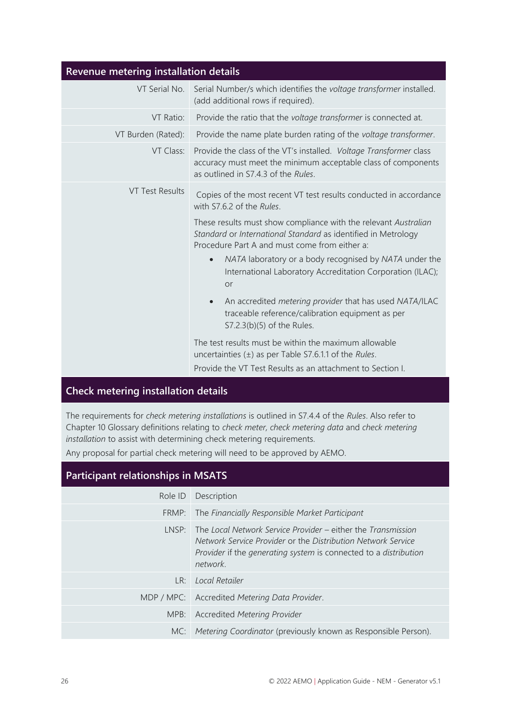| Revenue metering installation details |                                                                                                                                                                                                                                                                                                                                                                                                                                                                                                                                                                                                                                                                                                                                                                              |
|---------------------------------------|------------------------------------------------------------------------------------------------------------------------------------------------------------------------------------------------------------------------------------------------------------------------------------------------------------------------------------------------------------------------------------------------------------------------------------------------------------------------------------------------------------------------------------------------------------------------------------------------------------------------------------------------------------------------------------------------------------------------------------------------------------------------------|
| VT Serial No.                         | Serial Number/s which identifies the voltage transformer installed.<br>(add additional rows if required).                                                                                                                                                                                                                                                                                                                                                                                                                                                                                                                                                                                                                                                                    |
| VT Ratio:                             | Provide the ratio that the voltage transformer is connected at.                                                                                                                                                                                                                                                                                                                                                                                                                                                                                                                                                                                                                                                                                                              |
| VT Burden (Rated):                    | Provide the name plate burden rating of the voltage transformer.                                                                                                                                                                                                                                                                                                                                                                                                                                                                                                                                                                                                                                                                                                             |
| VT Class:                             | Provide the class of the VT's installed. Voltage Transformer class<br>accuracy must meet the minimum acceptable class of components<br>as outlined in S7.4.3 of the Rules.                                                                                                                                                                                                                                                                                                                                                                                                                                                                                                                                                                                                   |
| <b>VT Test Results</b>                | Copies of the most recent VT test results conducted in accordance<br>with S7.6.2 of the Rules.<br>These results must show compliance with the relevant Australian<br>Standard or International Standard as identified in Metrology<br>Procedure Part A and must come from either a:<br>NATA laboratory or a body recognised by NATA under the<br>$\bullet$<br>International Laboratory Accreditation Corporation (ILAC);<br>or<br>An accredited metering provider that has used NATA/ILAC<br>$\bullet$<br>traceable reference/calibration equipment as per<br>S7.2.3(b)(5) of the Rules.<br>The test results must be within the maximum allowable<br>uncertainties $(\pm)$ as per Table S7.6.1.1 of the Rules.<br>Provide the VT Test Results as an attachment to Section I. |

#### **Check metering installation details**

The requirements for *check metering installations* is outlined in S7.4.4 of the *Rules*. Also refer to Chapter 10 Glossary definitions relating to *check meter, check metering data* and *check metering installation* to assist with determining check metering requirements.

Any proposal for partial check metering will need to be approved by AEMO.

# **Participant relationships in MSATS**

|     | Role ID Description                                                                                                                                                                                                   |
|-----|-----------------------------------------------------------------------------------------------------------------------------------------------------------------------------------------------------------------------|
|     | FRMP: The Financially Responsible Market Participant                                                                                                                                                                  |
|     | $LNSP$ : The Local Network Service Provider – either the Transmission<br>Network Service Provider or the Distribution Network Service<br>Provider if the generating system is connected to a distribution<br>network. |
| LR: | Local Retailer                                                                                                                                                                                                        |
|     | MDP / MPC: Accredited Metering Data Provider.                                                                                                                                                                         |
|     | MPB: Accredited Metering Provider                                                                                                                                                                                     |
|     | MC: Metering Coordinator (previously known as Responsible Person).                                                                                                                                                    |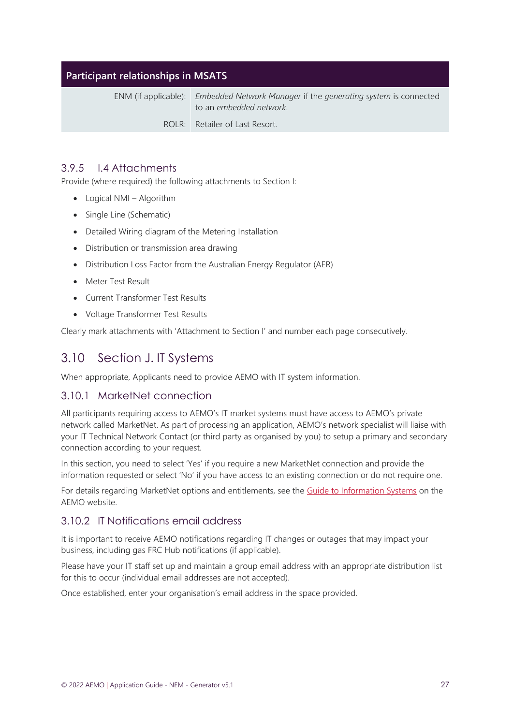#### **Participant relationships in MSATS**

ENM (if applicable): *Embedded Network Manager* if the *generating system* is connected to an *embedded network*.

ROLR: Retailer of Last Resort.

#### 3.9.5 I.4 Attachments

Provide (where required) the following attachments to Section I:

- Logical NMI Algorithm
- Single Line (Schematic)
- Detailed Wiring diagram of the Metering Installation
- Distribution or transmission area drawing
- Distribution Loss Factor from the Australian Energy Regulator (AER)
- Meter Test Result
- Current Transformer Test Results
- Voltage Transformer Test Results

Clearly mark attachments with 'Attachment to Section I' and number each page consecutively.

## <span id="page-26-1"></span><span id="page-26-0"></span>3.10 Section J. IT Systems

When appropriate, Applicants need to provide AEMO with IT system information.

#### 3.10.1 MarketNet connection

All participants requiring access to AEMO's IT market systems must have access to AEMO's private network called MarketNet. As part of processing an application, AEMO's network specialist will liaise with your IT Technical Network Contact (or third party as organised by you) to setup a primary and secondary connection according to your request.

In this section, you need to select 'Yes' if you require a new MarketNet connection and provide the information requested or select 'No' if you have access to an existing connection or do not require one.

For details regarding MarketNet options and entitlements, see the [Guide to Information Systems](https://www.aemo.com.au/-/media/Files/IT_Changes/Guide-to-Information-Systems.pdf) on the AEMO website.

#### 3.10.2 IT Notifications email address

It is important to receive AEMO notifications regarding IT changes or outages that may impact your business, including gas FRC Hub notifications (if applicable).

Please have your IT staff set up and maintain a group email address with an appropriate distribution list for this to occur (individual email addresses are not accepted).

Once established, enter your organisation's email address in the space provided.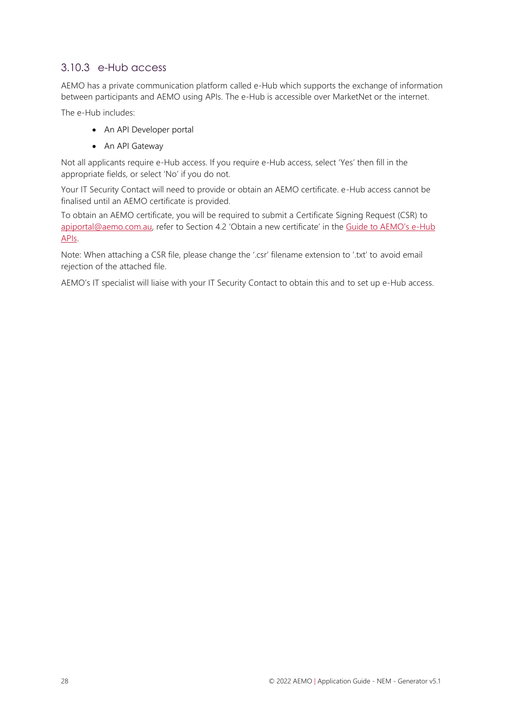#### 3.10.3 e-Hub access

AEMO has a private communication platform called e-Hub which supports the exchange of information between participants and AEMO using APIs. The e-Hub is accessible over MarketNet or the internet.

The e-Hub includes:

- An API Developer portal
- An API Gateway

Not all applicants require e-Hub access. If you require e-Hub access, select 'Yes' then fill in the appropriate fields, or select 'No' if you do not.

Your IT Security Contact will need to provide or obtain an AEMO certificate. e-Hub access cannot be finalised until an AEMO certificate is provided.

To obtain an AEMO certificate, you will be required to submit a Certificate Signing Request (CSR) to [apiportal@aemo.com.au](mailto:apiportal@aemo.com.au), refer to Section 4.2 'Obtain a new certificate' in the [Guide to AEMO's e](https://www.aemo.com.au/-/media/files/electricity/nem/it-systems-and-change/2018/guide-to-aemos-ehub-apis.pdf)-Hub [APIs.](https://www.aemo.com.au/-/media/files/electricity/nem/it-systems-and-change/2018/guide-to-aemos-ehub-apis.pdf)

Note: When attaching a CSR file, please change the '.csr' filename extension to '.txt' to avoid email rejection of the attached file.

AEMO's IT specialist will liaise with your IT Security Contact to obtain this and to set up e-Hub access.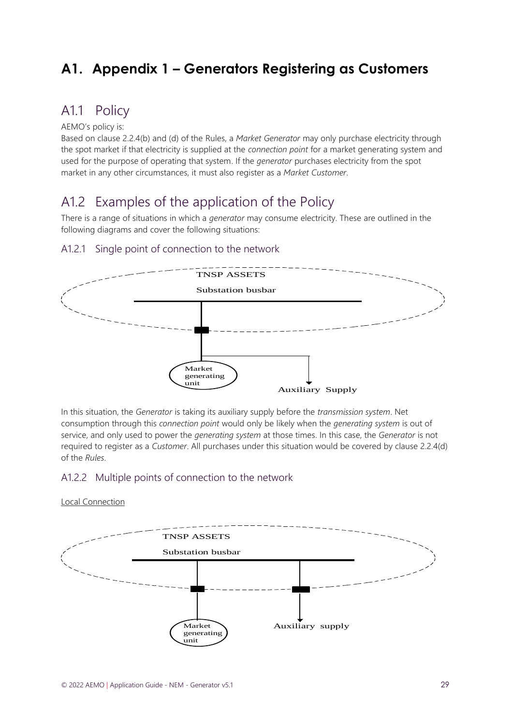# <span id="page-28-3"></span><span id="page-28-0"></span>**A1. Appendix 1 – Generators Registering as Customers**

# <span id="page-28-1"></span>A1.1 Policy

#### AEMO's policy is:

Based on clause 2.2.4(b) and (d) of the Rules, a *Market Generator* may only purchase electricity through the spot market if that electricity is supplied at the *connection point* for a market generating system and used for the purpose of operating that system. If the *generator* purchases electricity from the spot market in any other circumstances, it must also register as a *Market Customer*.

# <span id="page-28-2"></span>A1.2 Examples of the application of the Policy

There is a range of situations in which a *generator* may consume electricity. These are outlined in the following diagrams and cover the following situations:

#### A1.2.1 Single point of connection to the network



In this situation, the *Generator* is taking its auxiliary supply before the *transmission system*. Net consumption through this *connection point* would only be likely when the *generating system* is out of service, and only used to power the *generating system* at those times. In this case, the *Generator* is not required to register as a *Customer*. All purchases under this situation would be covered by clause 2.2.4(d) of the *Rules*.

#### A1.2.2 Multiple points of connection to the network

#### Local Connection

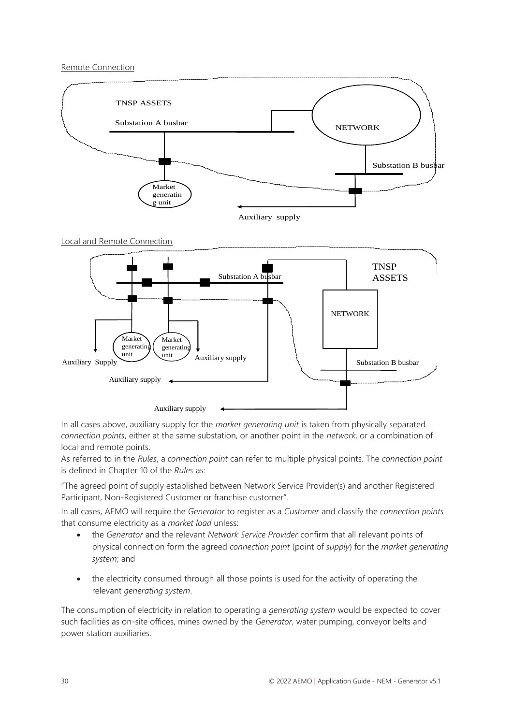#### Remote Connection



Auxiliary supply

In all cases above, auxiliary supply for the *market generating unit* is taken from physically separated *connection points*, either at the same substation, or another point in the *network*, or a combination of local and remote points.

As referred to in the *Rules*, a *connection point* can refer to multiple physical points. The *connection point* is defined in Chapter 10 of the *Rules* as:

"The agreed point of supply established between Network Service Provider(s) and another Registered Participant, Non-Registered Customer or franchise customer".

In all cases, AEMO will require the *Generator* to register as a *Customer* and classify the *connection points* that consume electricity as a *market load* unless:

- the *Generator* and the relevant *Network Service Provider* confirm that all relevant points of physical connection form the agreed *connection point* (point of *supply*) for the *market generating system*; and
- the electricity consumed through all those points is used for the activity of operating the relevant *generating system*.

The consumption of electricity in relation to operating a *generating system* would be expected to cover such facilities as on-site offices, mines owned by the *Generator*, water pumping, conveyor belts and power station auxiliaries.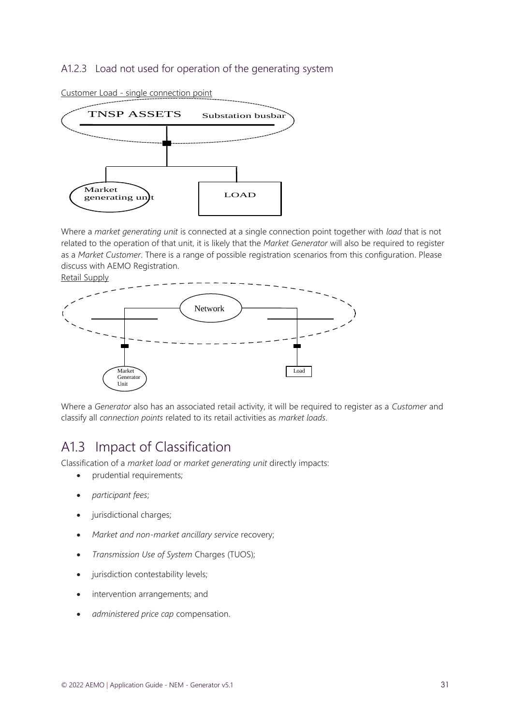#### A1.2.3 Load not used for operation of the generating system



Customer Load - single connection point

Where a *market generating unit* is connected at a single connection point together with *load* that is not related to the operation of that unit, it is likely that the *Market Generator* will also be required to register as a *Market Customer*. There is a range of possible registration scenarios from this configuration. Please discuss with AEMO Registration.

Retail Supply



Where a *Generator* also has an associated retail activity, it will be required to register as a *Customer* and classify all *connection points* related to its retail activities as *market loads*.

## <span id="page-30-0"></span>A1.3 Impact of Classification

Classification of a *market load* or *market generating unit* directly impacts:

- prudential requirements;
- *participant fees*;
- jurisdictional charges;
- *Market and non-market ancillary service* recovery;
- *Transmission Use of System* Charges (TUOS);
- jurisdiction contestability levels;
- intervention arrangements; and
- *administered price cap* compensation.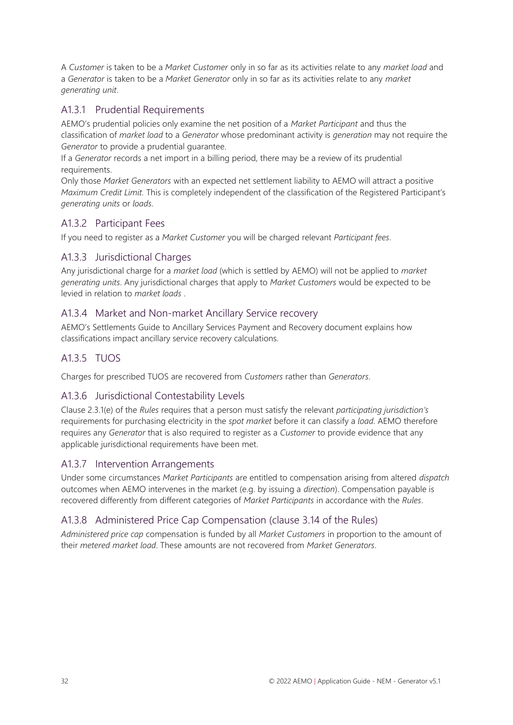A *Customer* is taken to be a *Market Customer* only in so far as its activities relate to any *market load* and a *Generator* is taken to be a *Market Generator* only in so far as its activities relate to any *market generating unit*.

#### A1.3.1 Prudential Requirements

AEMO's prudential policies only examine the net position of a *Market Participant* and thus the classification of *market load* to a *Generator* whose predominant activity is *generation* may not require the *Generator* to provide a prudential guarantee.

If a *Generator* records a net import in a billing period, there may be a review of its prudential requirements.

Only those *Market Generators* with an expected net settlement liability to AEMO will attract a positive *Maximum Credit Limit.* This is completely independent of the classification of the Registered Participant's *generating units* or *loads*.

## A1.3.2 Participant Fees

If you need to register as a *Market Customer* you will be charged relevant *Participant fees*.

#### A1.3.3 Jurisdictional Charges

Any jurisdictional charge for a *market load* (which is settled by AEMO) will not be applied to *market generating units*. Any jurisdictional charges that apply to *Market Customers* would be expected to be levied in relation to *market loads* .

#### A1.3.4 Market and Non-market Ancillary Service recovery

AEMO's Settlements Guide to Ancillary Services Payment and Recovery document explains how classifications impact ancillary service recovery calculations.

## A1.3.5 TUOS

Charges for prescribed TUOS are recovered from *Customers* rather than *Generators*.

#### A1.3.6 Jurisdictional Contestability Levels

Clause 2.3.1(e) of the *Rules* requires that a person must satisfy the relevant *participating jurisdiction's*  requirements for purchasing electricity in the *spot market* before it can classify a *load*. AEMO therefore requires any *Generator* that is also required to register as a *Customer* to provide evidence that any applicable jurisdictional requirements have been met.

#### A1.3.7 Intervention Arrangements

Under some circumstances *Market Participants* are entitled to compensation arising from altered *dispatch*  outcomes when AEMO intervenes in the market (e.g. by issuing a *direction*). Compensation payable is recovered differently from different categories of *Market Participants* in accordance with the *Rules*.

## A1.3.8 Administered Price Cap Compensation (clause 3.14 of the Rules)

*Administered price cap* compensation is funded by all *Market Customers* in proportion to the amount of their *metered market load*. These amounts are not recovered from *Market Generators*.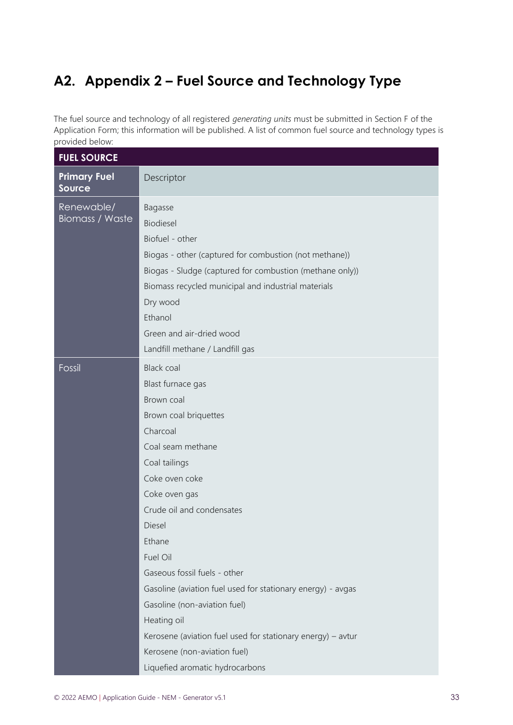# <span id="page-32-1"></span><span id="page-32-0"></span>**A2. Appendix 2 – Fuel Source and Technology Type**

The fuel source and technology of all registered *generating units* must be submitted in Section F of the Application Form; this information will be published. A list of common fuel source and technology types is provided below:

| <b>FUEL SOURCE</b>                   |                                                                                                                                                                                                                                                                                                                                                                                                                                                                                                                 |
|--------------------------------------|-----------------------------------------------------------------------------------------------------------------------------------------------------------------------------------------------------------------------------------------------------------------------------------------------------------------------------------------------------------------------------------------------------------------------------------------------------------------------------------------------------------------|
| <b>Primary Fuel</b><br><b>Source</b> | Descriptor                                                                                                                                                                                                                                                                                                                                                                                                                                                                                                      |
| Renewable/<br><b>Biomass / Waste</b> | Bagasse<br>Biodiesel<br>Biofuel - other<br>Biogas - other (captured for combustion (not methane))<br>Biogas - Sludge (captured for combustion (methane only))<br>Biomass recycled municipal and industrial materials<br>Dry wood<br>Ethanol<br>Green and air-dried wood<br>Landfill methane / Landfill gas                                                                                                                                                                                                      |
| Fossil                               | <b>Black coal</b><br>Blast furnace gas<br>Brown coal<br>Brown coal briquettes<br>Charcoal<br>Coal seam methane<br>Coal tailings<br>Coke oven coke<br>Coke oven gas<br>Crude oil and condensates<br>Diesel<br>Ethane<br>Fuel Oil<br>Gaseous fossil fuels - other<br>Gasoline (aviation fuel used for stationary energy) - avgas<br>Gasoline (non-aviation fuel)<br>Heating oil<br>Kerosene (aviation fuel used for stationary energy) - avtur<br>Kerosene (non-aviation fuel)<br>Liquefied aromatic hydrocarbons |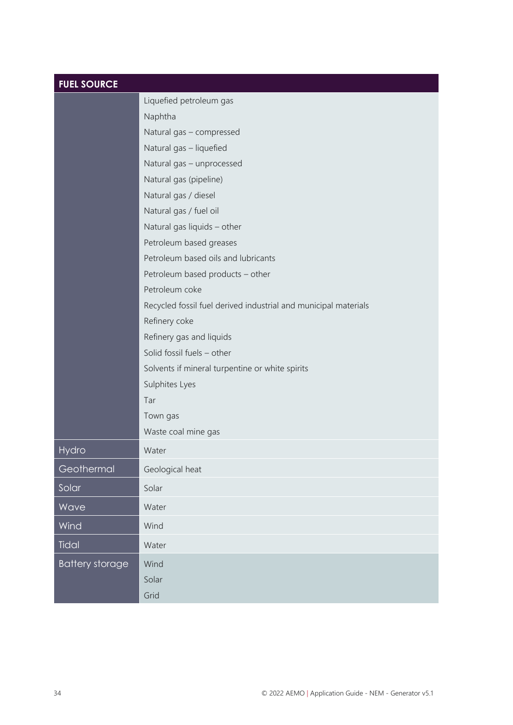| <b>FUEL SOURCE</b>     |                                                                 |
|------------------------|-----------------------------------------------------------------|
|                        | Liquefied petroleum gas                                         |
|                        | Naphtha                                                         |
|                        | Natural gas - compressed                                        |
|                        | Natural gas - liquefied                                         |
|                        | Natural gas - unprocessed                                       |
|                        | Natural gas (pipeline)                                          |
|                        | Natural gas / diesel                                            |
|                        | Natural gas / fuel oil                                          |
|                        | Natural gas liquids - other                                     |
|                        | Petroleum based greases                                         |
|                        | Petroleum based oils and lubricants                             |
|                        | Petroleum based products - other                                |
|                        | Petroleum coke                                                  |
|                        | Recycled fossil fuel derived industrial and municipal materials |
|                        | Refinery coke                                                   |
|                        | Refinery gas and liquids                                        |
|                        | Solid fossil fuels - other                                      |
|                        | Solvents if mineral turpentine or white spirits                 |
|                        | Sulphites Lyes                                                  |
|                        | Tar                                                             |
|                        | Town gas                                                        |
|                        | Waste coal mine gas                                             |
| Hydro                  | Water                                                           |
| Geothermal             | Geological heat                                                 |
| Solar                  | Solar                                                           |
| Wave                   | Water                                                           |
| Wind                   | Wind                                                            |
| Tidal                  | Water                                                           |
| <b>Battery storage</b> | Wind                                                            |
|                        | Solar                                                           |
|                        | Grid                                                            |